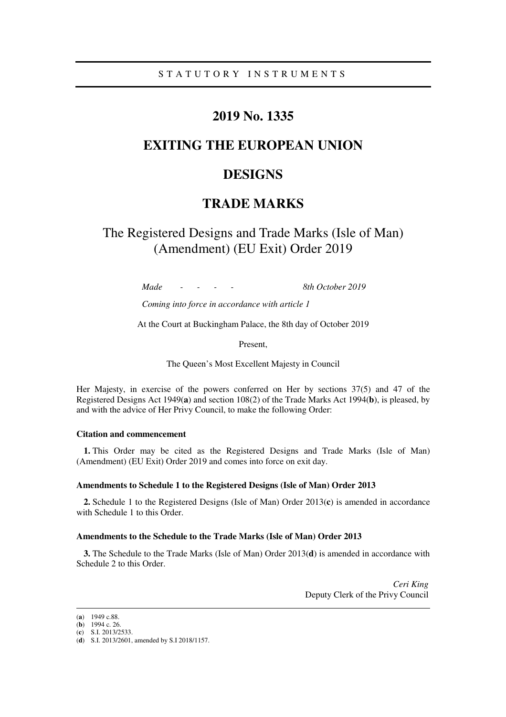## **2019 No. 1335**

# **EXITING THE EUROPEAN UNION**

## **DESIGNS**

## **TRADE MARKS**

# The Registered Designs and Trade Marks (Isle of Man) (Amendment) (EU Exit) Order 2019

*Made - - - - 8th October 2019* 

*Coming into force in accordance with article 1* 

At the Court at Buckingham Palace, the 8th day of October 2019

Present,

The Queen's Most Excellent Majesty in Council

Her Majesty, in exercise of the powers conferred on Her by sections 37(5) and 47 of the Registered Designs Act 1949(**a**) and section 108(2) of the Trade Marks Act 1994(**b**), is pleased, by and with the advice of Her Privy Council, to make the following Order:

### **Citation and commencement**

**1.** This Order may be cited as the Registered Designs and Trade Marks (Isle of Man) (Amendment) (EU Exit) Order 2019 and comes into force on exit day.

#### **Amendments to Schedule 1 to the Registered Designs (Isle of Man) Order 2013**

**2.** Schedule 1 to the Registered Designs (Isle of Man) Order 2013(**c**) is amended in accordance with Schedule 1 to this Order.

## **Amendments to the Schedule to the Trade Marks (Isle of Man) Order 2013**

**3.** The Schedule to the Trade Marks (Isle of Man) Order 2013(**d**) is amended in accordance with Schedule 2 to this Order.

> *Ceri King* Deputy Clerk of the Privy Council

-

(**c**) S.I. 2013/2533.

<sup>(</sup>**a**) 1949 c.88.

 $(b)$  1994 c. 26.

<sup>(</sup>**d**) S.I. 2013/2601, amended by S.I 2018/1157.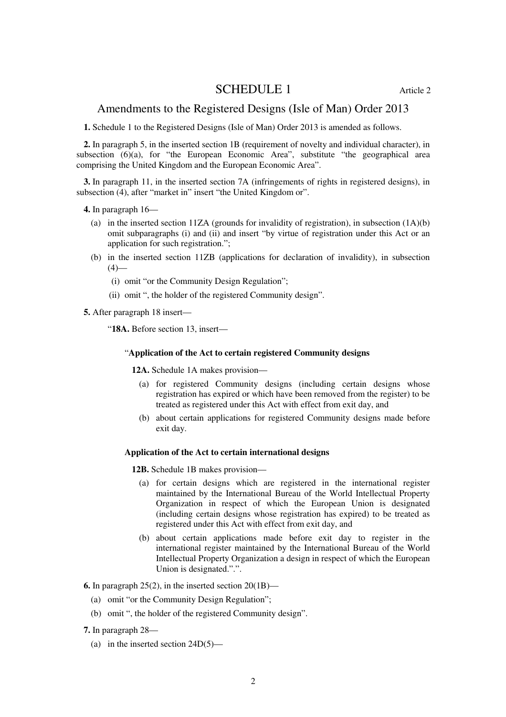## SCHEDULE 1 Article 2

## Amendments to the Registered Designs (Isle of Man) Order 2013

**1.** Schedule 1 to the Registered Designs (Isle of Man) Order 2013 is amended as follows.

**2.** In paragraph 5, in the inserted section 1B (requirement of novelty and individual character), in subsection  $(6)(a)$ , for "the European Economic Area", substitute "the geographical area comprising the United Kingdom and the European Economic Area".

**3.** In paragraph 11, in the inserted section 7A (infringements of rights in registered designs), in subsection (4), after "market in" insert "the United Kingdom or".

**4.** In paragraph 16—

- (a) in the inserted section 11ZA (grounds for invalidity of registration), in subsection  $(1A)(b)$ omit subparagraphs (i) and (ii) and insert "by virtue of registration under this Act or an application for such registration.";
- (b) in the inserted section 11ZB (applications for declaration of invalidity), in subsection  $(4)$ —
	- (i) omit "or the Community Design Regulation";
	- (ii) omit ", the holder of the registered Community design".

**5.** After paragraph 18 insert—

"**18A.** Before section 13, insert—

### "**Application of the Act to certain registered Community designs**

**12A.** Schedule 1A makes provision—

- (a) for registered Community designs (including certain designs whose registration has expired or which have been removed from the register) to be treated as registered under this Act with effect from exit day, and
- (b) about certain applications for registered Community designs made before exit day.

## **Application of the Act to certain international designs**

**12B.** Schedule 1B makes provision—

- (a) for certain designs which are registered in the international register maintained by the International Bureau of the World Intellectual Property Organization in respect of which the European Union is designated (including certain designs whose registration has expired) to be treated as registered under this Act with effect from exit day, and
- (b) about certain applications made before exit day to register in the international register maintained by the International Bureau of the World Intellectual Property Organization a design in respect of which the European Union is designated.".".

**6.** In paragraph 25(2), in the inserted section 20(1B)—

- (a) omit "or the Community Design Regulation";
- (b) omit ", the holder of the registered Community design".

**7.** In paragraph 28—

(a) in the inserted section 24D(5)—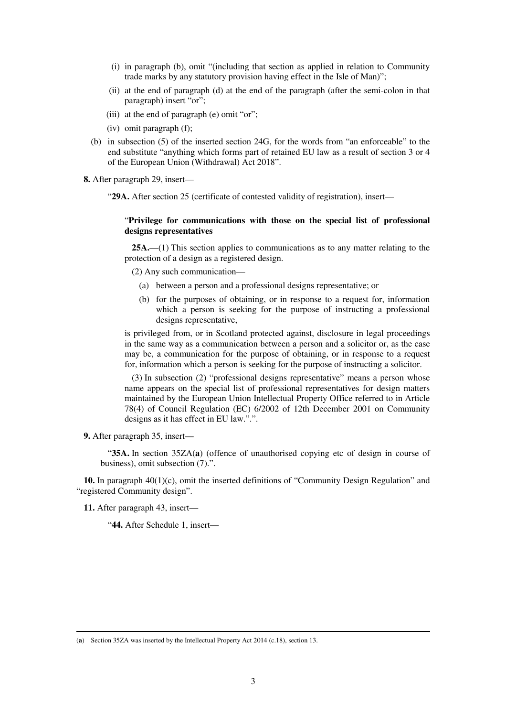- (i) in paragraph (b), omit "(including that section as applied in relation to Community trade marks by any statutory provision having effect in the Isle of Man)";
- (ii) at the end of paragraph (d) at the end of the paragraph (after the semi-colon in that paragraph) insert "or";
- (iii) at the end of paragraph (e) omit "or";
- (iv) omit paragraph (f);
- (b) in subsection (5) of the inserted section 24G, for the words from "an enforceable" to the end substitute "anything which forms part of retained EU law as a result of section 3 or 4 of the European Union (Withdrawal) Act 2018".

**8.** After paragraph 29, insert—

"**29A.** After section 25 (certificate of contested validity of registration), insert—

## "**Privilege for communications with those on the special list of professional designs representatives**

**25A.**—(1) This section applies to communications as to any matter relating to the protection of a design as a registered design.

(2) Any such communication—

- (a) between a person and a professional designs representative; or
- (b) for the purposes of obtaining, or in response to a request for, information which a person is seeking for the purpose of instructing a professional designs representative,

is privileged from, or in Scotland protected against, disclosure in legal proceedings in the same way as a communication between a person and a solicitor or, as the case may be, a communication for the purpose of obtaining, or in response to a request for, information which a person is seeking for the purpose of instructing a solicitor.

(3) In subsection (2) "professional designs representative" means a person whose name appears on the special list of professional representatives for design matters maintained by the European Union Intellectual Property Office referred to in Article 78(4) of Council Regulation (EC) 6/2002 of 12th December 2001 on Community designs as it has effect in EU law.".".

**9.** After paragraph 35, insert—

"**35A.** In section 35ZA(**a**) (offence of unauthorised copying etc of design in course of business), omit subsection (7).".

**10.** In paragraph 40(1)(c), omit the inserted definitions of "Community Design Regulation" and "registered Community design".

**11.** After paragraph 43, insert—

-

"**44.** After Schedule 1, insert—

<sup>(</sup>**a**) Section 35ZA was inserted by the Intellectual Property Act 2014 (c.18), section 13.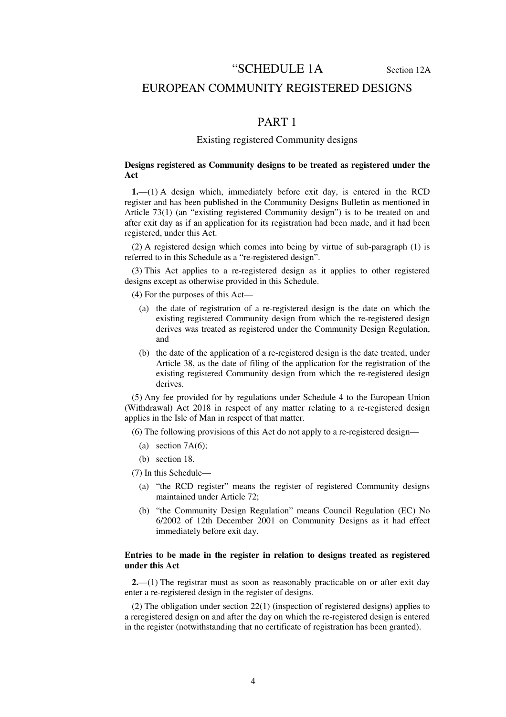## "SCHEDULE 1A Section 12A

## EUROPEAN COMMUNITY REGISTERED DESIGNS

## PART 1

## Existing registered Community designs

## **Designs registered as Community designs to be treated as registered under the Act**

**1.**—(1) A design which, immediately before exit day, is entered in the RCD register and has been published in the Community Designs Bulletin as mentioned in Article 73(1) (an "existing registered Community design") is to be treated on and after exit day as if an application for its registration had been made, and it had been registered, under this Act.

(2) A registered design which comes into being by virtue of sub-paragraph (1) is referred to in this Schedule as a "re-registered design".

(3) This Act applies to a re-registered design as it applies to other registered designs except as otherwise provided in this Schedule.

(4) For the purposes of this Act—

- (a) the date of registration of a re-registered design is the date on which the existing registered Community design from which the re-registered design derives was treated as registered under the Community Design Regulation, and
- (b) the date of the application of a re-registered design is the date treated, under Article 38, as the date of filing of the application for the registration of the existing registered Community design from which the re-registered design derives.

(5) Any fee provided for by regulations under Schedule 4 to the European Union (Withdrawal) Act 2018 in respect of any matter relating to a re-registered design applies in the Isle of Man in respect of that matter.

(6) The following provisions of this Act do not apply to a re-registered design—

- (a) section  $7A(6)$ ;
- (b) section 18.

(7) In this Schedule—

- (a) "the RCD register" means the register of registered Community designs maintained under Article 72;
- (b) "the Community Design Regulation" means Council Regulation (EC) No 6/2002 of 12th December 2001 on Community Designs as it had effect immediately before exit day.

### **Entries to be made in the register in relation to designs treated as registered under this Act**

**2.**—(1) The registrar must as soon as reasonably practicable on or after exit day enter a re-registered design in the register of designs.

(2) The obligation under section 22(1) (inspection of registered designs) applies to a reregistered design on and after the day on which the re-registered design is entered in the register (notwithstanding that no certificate of registration has been granted).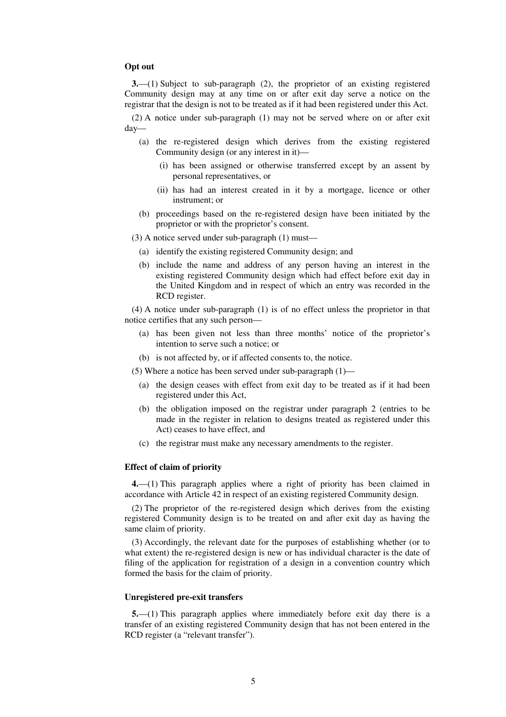### **Opt out**

**3.**—(1) Subject to sub-paragraph (2), the proprietor of an existing registered Community design may at any time on or after exit day serve a notice on the registrar that the design is not to be treated as if it had been registered under this Act.

(2) A notice under sub-paragraph (1) may not be served where on or after exit day—

- (a) the re-registered design which derives from the existing registered Community design (or any interest in it)—
	- (i) has been assigned or otherwise transferred except by an assent by personal representatives, or
	- (ii) has had an interest created in it by a mortgage, licence or other instrument; or
- (b) proceedings based on the re-registered design have been initiated by the proprietor or with the proprietor's consent.

(3) A notice served under sub-paragraph (1) must—

- (a) identify the existing registered Community design; and
- (b) include the name and address of any person having an interest in the existing registered Community design which had effect before exit day in the United Kingdom and in respect of which an entry was recorded in the RCD register.

(4) A notice under sub-paragraph (1) is of no effect unless the proprietor in that notice certifies that any such person—

- (a) has been given not less than three months' notice of the proprietor's intention to serve such a notice; or
- (b) is not affected by, or if affected consents to, the notice.

(5) Where a notice has been served under sub-paragraph (1)—

- (a) the design ceases with effect from exit day to be treated as if it had been registered under this Act,
- (b) the obligation imposed on the registrar under paragraph 2 (entries to be made in the register in relation to designs treated as registered under this Act) ceases to have effect, and
- (c) the registrar must make any necessary amendments to the register.

## **Effect of claim of priority**

**4.**—(1) This paragraph applies where a right of priority has been claimed in accordance with Article 42 in respect of an existing registered Community design.

(2) The proprietor of the re-registered design which derives from the existing registered Community design is to be treated on and after exit day as having the same claim of priority.

(3) Accordingly, the relevant date for the purposes of establishing whether (or to what extent) the re-registered design is new or has individual character is the date of filing of the application for registration of a design in a convention country which formed the basis for the claim of priority.

#### **Unregistered pre-exit transfers**

**5.**—(1) This paragraph applies where immediately before exit day there is a transfer of an existing registered Community design that has not been entered in the RCD register (a "relevant transfer").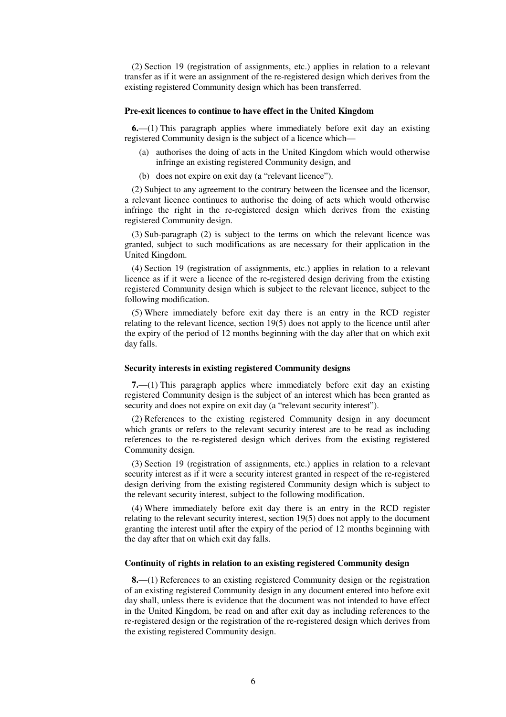(2) Section 19 (registration of assignments, etc.) applies in relation to a relevant transfer as if it were an assignment of the re-registered design which derives from the existing registered Community design which has been transferred.

#### **Pre-exit licences to continue to have effect in the United Kingdom**

**6.**—(1) This paragraph applies where immediately before exit day an existing registered Community design is the subject of a licence which—

- (a) authorises the doing of acts in the United Kingdom which would otherwise infringe an existing registered Community design, and
- (b) does not expire on exit day (a "relevant licence").

(2) Subject to any agreement to the contrary between the licensee and the licensor, a relevant licence continues to authorise the doing of acts which would otherwise infringe the right in the re-registered design which derives from the existing registered Community design.

(3) Sub-paragraph (2) is subject to the terms on which the relevant licence was granted, subject to such modifications as are necessary for their application in the United Kingdom.

(4) Section 19 (registration of assignments, etc.) applies in relation to a relevant licence as if it were a licence of the re-registered design deriving from the existing registered Community design which is subject to the relevant licence, subject to the following modification.

(5) Where immediately before exit day there is an entry in the RCD register relating to the relevant licence, section 19(5) does not apply to the licence until after the expiry of the period of 12 months beginning with the day after that on which exit day falls.

#### **Security interests in existing registered Community designs**

**7.**—(1) This paragraph applies where immediately before exit day an existing registered Community design is the subject of an interest which has been granted as security and does not expire on exit day (a "relevant security interest").

(2) References to the existing registered Community design in any document which grants or refers to the relevant security interest are to be read as including references to the re-registered design which derives from the existing registered Community design.

(3) Section 19 (registration of assignments, etc.) applies in relation to a relevant security interest as if it were a security interest granted in respect of the re-registered design deriving from the existing registered Community design which is subject to the relevant security interest, subject to the following modification.

(4) Where immediately before exit day there is an entry in the RCD register relating to the relevant security interest, section 19(5) does not apply to the document granting the interest until after the expiry of the period of 12 months beginning with the day after that on which exit day falls.

### **Continuity of rights in relation to an existing registered Community design**

**8.**—(1) References to an existing registered Community design or the registration of an existing registered Community design in any document entered into before exit day shall, unless there is evidence that the document was not intended to have effect in the United Kingdom, be read on and after exit day as including references to the re-registered design or the registration of the re-registered design which derives from the existing registered Community design.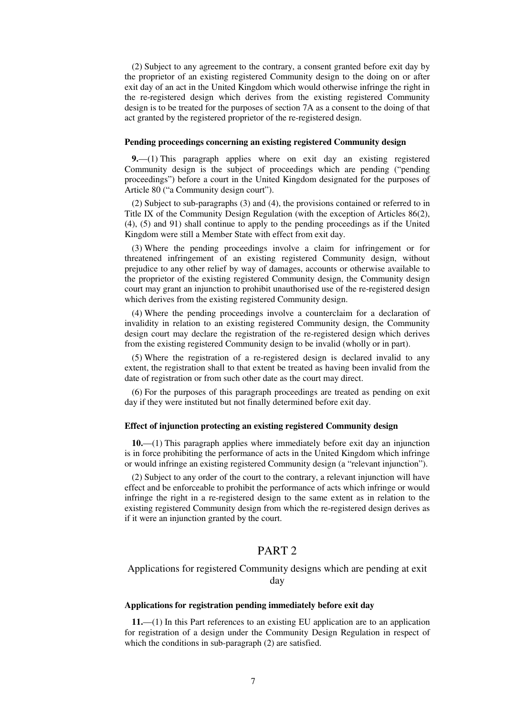(2) Subject to any agreement to the contrary, a consent granted before exit day by the proprietor of an existing registered Community design to the doing on or after exit day of an act in the United Kingdom which would otherwise infringe the right in the re-registered design which derives from the existing registered Community design is to be treated for the purposes of section 7A as a consent to the doing of that act granted by the registered proprietor of the re-registered design.

#### **Pending proceedings concerning an existing registered Community design**

**9.**—(1) This paragraph applies where on exit day an existing registered Community design is the subject of proceedings which are pending ("pending proceedings") before a court in the United Kingdom designated for the purposes of Article 80 ("a Community design court").

(2) Subject to sub-paragraphs (3) and (4), the provisions contained or referred to in Title IX of the Community Design Regulation (with the exception of Articles 86(2), (4), (5) and 91) shall continue to apply to the pending proceedings as if the United Kingdom were still a Member State with effect from exit day.

(3) Where the pending proceedings involve a claim for infringement or for threatened infringement of an existing registered Community design, without prejudice to any other relief by way of damages, accounts or otherwise available to the proprietor of the existing registered Community design, the Community design court may grant an injunction to prohibit unauthorised use of the re-registered design which derives from the existing registered Community design.

(4) Where the pending proceedings involve a counterclaim for a declaration of invalidity in relation to an existing registered Community design, the Community design court may declare the registration of the re-registered design which derives from the existing registered Community design to be invalid (wholly or in part).

(5) Where the registration of a re-registered design is declared invalid to any extent, the registration shall to that extent be treated as having been invalid from the date of registration or from such other date as the court may direct.

(6) For the purposes of this paragraph proceedings are treated as pending on exit day if they were instituted but not finally determined before exit day.

### **Effect of injunction protecting an existing registered Community design**

**10.**—(1) This paragraph applies where immediately before exit day an injunction is in force prohibiting the performance of acts in the United Kingdom which infringe or would infringe an existing registered Community design (a "relevant injunction").

(2) Subject to any order of the court to the contrary, a relevant injunction will have effect and be enforceable to prohibit the performance of acts which infringe or would infringe the right in a re-registered design to the same extent as in relation to the existing registered Community design from which the re-registered design derives as if it were an injunction granted by the court.

## PART 2

## Applications for registered Community designs which are pending at exit day

## **Applications for registration pending immediately before exit day**

**11.**—(1) In this Part references to an existing EU application are to an application for registration of a design under the Community Design Regulation in respect of which the conditions in sub-paragraph  $(2)$  are satisfied.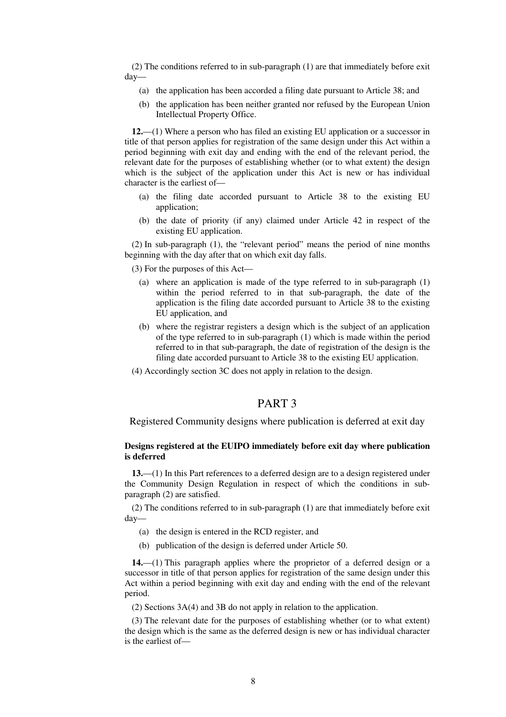(2) The conditions referred to in sub-paragraph (1) are that immediately before exit day—

- (a) the application has been accorded a filing date pursuant to Article 38; and
- (b) the application has been neither granted nor refused by the European Union Intellectual Property Office.

**12.**—(1) Where a person who has filed an existing EU application or a successor in title of that person applies for registration of the same design under this Act within a period beginning with exit day and ending with the end of the relevant period, the relevant date for the purposes of establishing whether (or to what extent) the design which is the subject of the application under this Act is new or has individual character is the earliest of—

- (a) the filing date accorded pursuant to Article 38 to the existing EU application;
- (b) the date of priority (if any) claimed under Article 42 in respect of the existing EU application.

(2) In sub-paragraph (1), the "relevant period" means the period of nine months beginning with the day after that on which exit day falls.

(3) For the purposes of this Act—

- (a) where an application is made of the type referred to in sub-paragraph (1) within the period referred to in that sub-paragraph, the date of the application is the filing date accorded pursuant to Article 38 to the existing EU application, and
- (b) where the registrar registers a design which is the subject of an application of the type referred to in sub-paragraph (1) which is made within the period referred to in that sub-paragraph, the date of registration of the design is the filing date accorded pursuant to Article 38 to the existing EU application.
- (4) Accordingly section 3C does not apply in relation to the design.

## PART 3

Registered Community designs where publication is deferred at exit day

## **Designs registered at the EUIPO immediately before exit day where publication is deferred**

**13.**—(1) In this Part references to a deferred design are to a design registered under the Community Design Regulation in respect of which the conditions in subparagraph (2) are satisfied.

(2) The conditions referred to in sub-paragraph (1) are that immediately before exit day—

- (a) the design is entered in the RCD register, and
- (b) publication of the design is deferred under Article 50.

**14.**—(1) This paragraph applies where the proprietor of a deferred design or a successor in title of that person applies for registration of the same design under this Act within a period beginning with exit day and ending with the end of the relevant period.

(2) Sections 3A(4) and 3B do not apply in relation to the application.

(3) The relevant date for the purposes of establishing whether (or to what extent) the design which is the same as the deferred design is new or has individual character is the earliest of—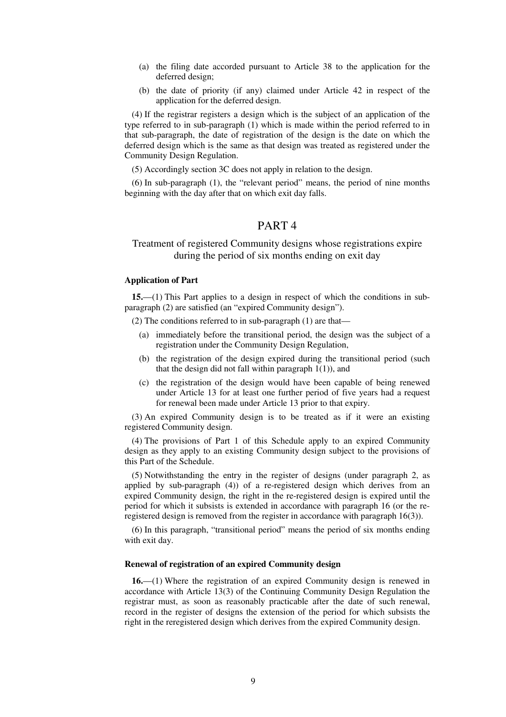- (a) the filing date accorded pursuant to Article 38 to the application for the deferred design;
- (b) the date of priority (if any) claimed under Article 42 in respect of the application for the deferred design.

(4) If the registrar registers a design which is the subject of an application of the type referred to in sub-paragraph (1) which is made within the period referred to in that sub-paragraph, the date of registration of the design is the date on which the deferred design which is the same as that design was treated as registered under the Community Design Regulation.

(5) Accordingly section 3C does not apply in relation to the design.

(6) In sub-paragraph (1), the "relevant period" means, the period of nine months beginning with the day after that on which exit day falls.

## PART 4

## Treatment of registered Community designs whose registrations expire during the period of six months ending on exit day

### **Application of Part**

**15.**—(1) This Part applies to a design in respect of which the conditions in subparagraph (2) are satisfied (an "expired Community design").

(2) The conditions referred to in sub-paragraph (1) are that—

- (a) immediately before the transitional period, the design was the subject of a registration under the Community Design Regulation,
- (b) the registration of the design expired during the transitional period (such that the design did not fall within paragraph  $1(1)$ ), and
- (c) the registration of the design would have been capable of being renewed under Article 13 for at least one further period of five years had a request for renewal been made under Article 13 prior to that expiry.

(3) An expired Community design is to be treated as if it were an existing registered Community design.

(4) The provisions of Part 1 of this Schedule apply to an expired Community design as they apply to an existing Community design subject to the provisions of this Part of the Schedule.

(5) Notwithstanding the entry in the register of designs (under paragraph 2, as applied by sub-paragraph (4)) of a re-registered design which derives from an expired Community design, the right in the re-registered design is expired until the period for which it subsists is extended in accordance with paragraph 16 (or the reregistered design is removed from the register in accordance with paragraph 16(3)).

(6) In this paragraph, "transitional period" means the period of six months ending with exit day.

#### **Renewal of registration of an expired Community design**

**16.**—(1) Where the registration of an expired Community design is renewed in accordance with Article 13(3) of the Continuing Community Design Regulation the registrar must, as soon as reasonably practicable after the date of such renewal, record in the register of designs the extension of the period for which subsists the right in the reregistered design which derives from the expired Community design.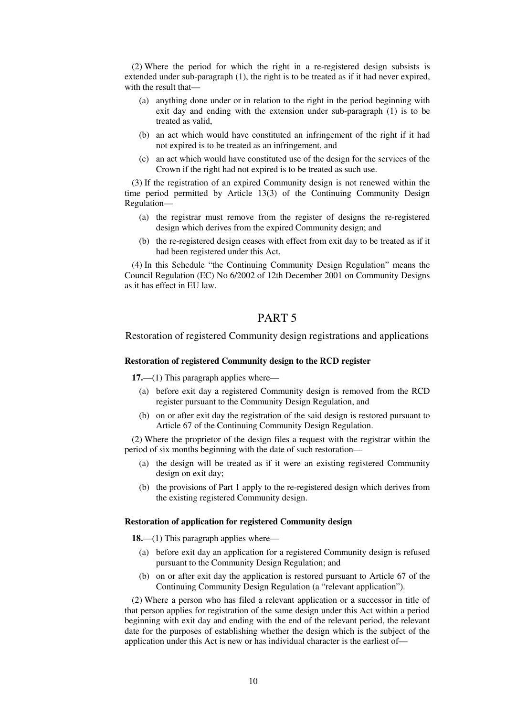(2) Where the period for which the right in a re-registered design subsists is extended under sub-paragraph (1), the right is to be treated as if it had never expired, with the result that—

- (a) anything done under or in relation to the right in the period beginning with exit day and ending with the extension under sub-paragraph (1) is to be treated as valid,
- (b) an act which would have constituted an infringement of the right if it had not expired is to be treated as an infringement, and
- (c) an act which would have constituted use of the design for the services of the Crown if the right had not expired is to be treated as such use.

(3) If the registration of an expired Community design is not renewed within the time period permitted by Article 13(3) of the Continuing Community Design Regulation—

- (a) the registrar must remove from the register of designs the re-registered design which derives from the expired Community design; and
- (b) the re-registered design ceases with effect from exit day to be treated as if it had been registered under this Act.

(4) In this Schedule "the Continuing Community Design Regulation" means the Council Regulation (EC) No 6/2002 of 12th December 2001 on Community Designs as it has effect in EU law.

## PART 5

Restoration of registered Community design registrations and applications

#### **Restoration of registered Community design to the RCD register**

**17.**—(1) This paragraph applies where—

- (a) before exit day a registered Community design is removed from the RCD register pursuant to the Community Design Regulation, and
- (b) on or after exit day the registration of the said design is restored pursuant to Article 67 of the Continuing Community Design Regulation.

(2) Where the proprietor of the design files a request with the registrar within the period of six months beginning with the date of such restoration—

- (a) the design will be treated as if it were an existing registered Community design on exit day;
- (b) the provisions of Part 1 apply to the re-registered design which derives from the existing registered Community design.

### **Restoration of application for registered Community design**

**18.**—(1) This paragraph applies where—

- (a) before exit day an application for a registered Community design is refused pursuant to the Community Design Regulation; and
- (b) on or after exit day the application is restored pursuant to Article 67 of the Continuing Community Design Regulation (a "relevant application").

(2) Where a person who has filed a relevant application or a successor in title of that person applies for registration of the same design under this Act within a period beginning with exit day and ending with the end of the relevant period, the relevant date for the purposes of establishing whether the design which is the subject of the application under this Act is new or has individual character is the earliest of—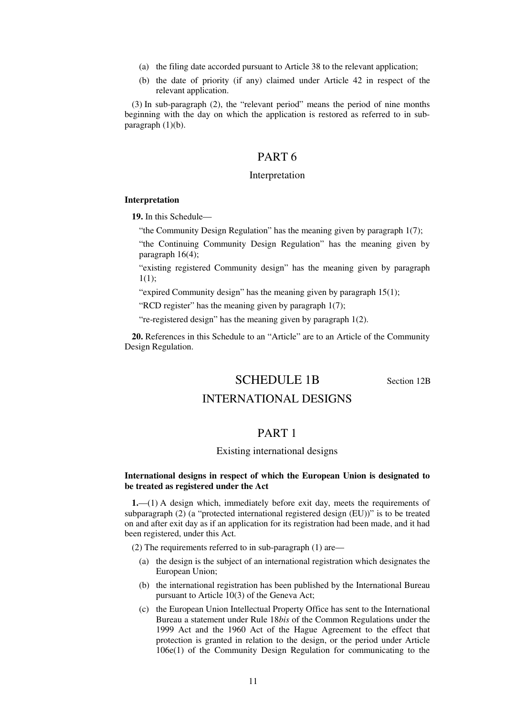- (a) the filing date accorded pursuant to Article 38 to the relevant application;
- (b) the date of priority (if any) claimed under Article 42 in respect of the relevant application.

(3) In sub-paragraph (2), the "relevant period" means the period of nine months beginning with the day on which the application is restored as referred to in subparagraph (1)(b).

## PART 6

### Interpretation

### **Interpretation**

**19.** In this Schedule—

"the Community Design Regulation" has the meaning given by paragraph 1(7);

"the Continuing Community Design Regulation" has the meaning given by paragraph 16(4);

"existing registered Community design" has the meaning given by paragraph 1(1);

"expired Community design" has the meaning given by paragraph 15(1);

"RCD register" has the meaning given by paragraph 1(7);

"re-registered design" has the meaning given by paragraph 1(2).

**20.** References in this Schedule to an "Article" are to an Article of the Community Design Regulation.

## SCHEDULE 1B Section 12B

## INTERNATIONAL DESIGNS

## PART 1

## Existing international designs

## **International designs in respect of which the European Union is designated to be treated as registered under the Act**

**1.**—(1) A design which, immediately before exit day, meets the requirements of subparagraph (2) (a "protected international registered design (EU))" is to be treated on and after exit day as if an application for its registration had been made, and it had been registered, under this Act.

(2) The requirements referred to in sub-paragraph (1) are—

- (a) the design is the subject of an international registration which designates the European Union;
- (b) the international registration has been published by the International Bureau pursuant to Article 10(3) of the Geneva Act;
- (c) the European Union Intellectual Property Office has sent to the International Bureau a statement under Rule 18*bis* of the Common Regulations under the 1999 Act and the 1960 Act of the Hague Agreement to the effect that protection is granted in relation to the design, or the period under Article 106e(1) of the Community Design Regulation for communicating to the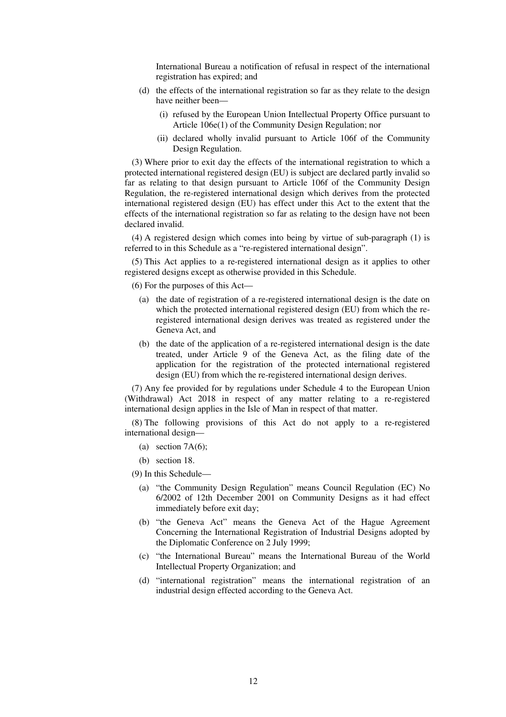International Bureau a notification of refusal in respect of the international registration has expired; and

- (d) the effects of the international registration so far as they relate to the design have neither been—
	- (i) refused by the European Union Intellectual Property Office pursuant to Article 106e(1) of the Community Design Regulation; nor
	- (ii) declared wholly invalid pursuant to Article 106f of the Community Design Regulation.

(3) Where prior to exit day the effects of the international registration to which a protected international registered design (EU) is subject are declared partly invalid so far as relating to that design pursuant to Article 106f of the Community Design Regulation, the re-registered international design which derives from the protected international registered design (EU) has effect under this Act to the extent that the effects of the international registration so far as relating to the design have not been declared invalid.

(4) A registered design which comes into being by virtue of sub-paragraph (1) is referred to in this Schedule as a "re-registered international design".

(5) This Act applies to a re-registered international design as it applies to other registered designs except as otherwise provided in this Schedule.

(6) For the purposes of this Act—

- (a) the date of registration of a re-registered international design is the date on which the protected international registered design (EU) from which the reregistered international design derives was treated as registered under the Geneva Act, and
- (b) the date of the application of a re-registered international design is the date treated, under Article 9 of the Geneva Act, as the filing date of the application for the registration of the protected international registered design (EU) from which the re-registered international design derives.

(7) Any fee provided for by regulations under Schedule 4 to the European Union (Withdrawal) Act 2018 in respect of any matter relating to a re-registered international design applies in the Isle of Man in respect of that matter.

(8) The following provisions of this Act do not apply to a re-registered international design—

- (a) section  $7A(6)$ ;
- (b) section 18.

(9) In this Schedule—

- (a) "the Community Design Regulation" means Council Regulation (EC) No 6/2002 of 12th December 2001 on Community Designs as it had effect immediately before exit day;
- (b) "the Geneva Act" means the Geneva Act of the Hague Agreement Concerning the International Registration of Industrial Designs adopted by the Diplomatic Conference on 2 July 1999;
- (c) "the International Bureau" means the International Bureau of the World Intellectual Property Organization; and
- (d) "international registration" means the international registration of an industrial design effected according to the Geneva Act.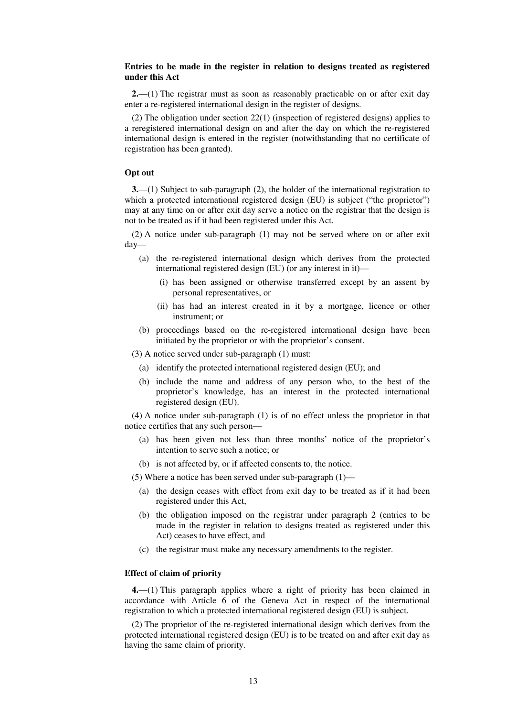### **Entries to be made in the register in relation to designs treated as registered under this Act**

**2.**—(1) The registrar must as soon as reasonably practicable on or after exit day enter a re-registered international design in the register of designs.

(2) The obligation under section 22(1) (inspection of registered designs) applies to a reregistered international design on and after the day on which the re-registered international design is entered in the register (notwithstanding that no certificate of registration has been granted).

## **Opt out**

**3.**—(1) Subject to sub-paragraph (2), the holder of the international registration to which a protected international registered design (EU) is subject ("the proprietor") may at any time on or after exit day serve a notice on the registrar that the design is not to be treated as if it had been registered under this Act.

(2) A notice under sub-paragraph (1) may not be served where on or after exit day—

- (a) the re-registered international design which derives from the protected international registered design (EU) (or any interest in it)—
	- (i) has been assigned or otherwise transferred except by an assent by personal representatives, or
	- (ii) has had an interest created in it by a mortgage, licence or other instrument; or
- (b) proceedings based on the re-registered international design have been initiated by the proprietor or with the proprietor's consent.

(3) A notice served under sub-paragraph (1) must:

- (a) identify the protected international registered design (EU); and
- (b) include the name and address of any person who, to the best of the proprietor's knowledge, has an interest in the protected international registered design (EU).

(4) A notice under sub-paragraph (1) is of no effect unless the proprietor in that notice certifies that any such person—

- (a) has been given not less than three months' notice of the proprietor's intention to serve such a notice; or
- (b) is not affected by, or if affected consents to, the notice.

(5) Where a notice has been served under sub-paragraph (1)—

- (a) the design ceases with effect from exit day to be treated as if it had been registered under this Act,
- (b) the obligation imposed on the registrar under paragraph 2 (entries to be made in the register in relation to designs treated as registered under this Act) ceases to have effect, and
- (c) the registrar must make any necessary amendments to the register.

## **Effect of claim of priority**

**4.**—(1) This paragraph applies where a right of priority has been claimed in accordance with Article 6 of the Geneva Act in respect of the international registration to which a protected international registered design (EU) is subject.

(2) The proprietor of the re-registered international design which derives from the protected international registered design (EU) is to be treated on and after exit day as having the same claim of priority.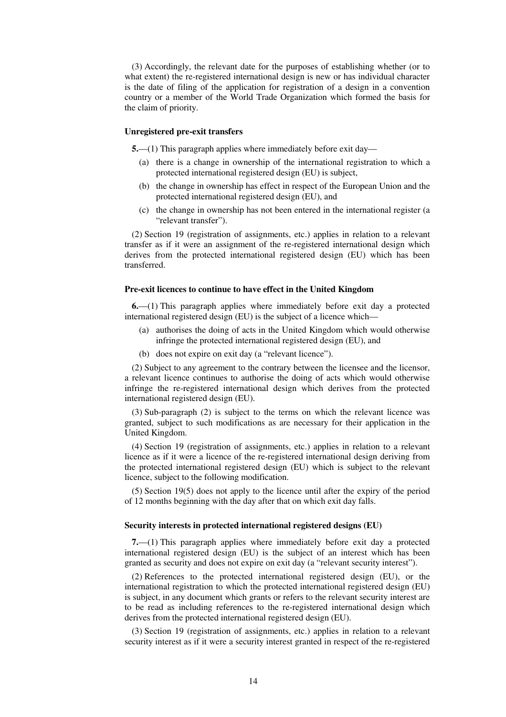(3) Accordingly, the relevant date for the purposes of establishing whether (or to what extent) the re-registered international design is new or has individual character is the date of filing of the application for registration of a design in a convention country or a member of the World Trade Organization which formed the basis for the claim of priority.

## **Unregistered pre-exit transfers**

**5.**—(1) This paragraph applies where immediately before exit day—

- (a) there is a change in ownership of the international registration to which a protected international registered design (EU) is subject,
- (b) the change in ownership has effect in respect of the European Union and the protected international registered design (EU), and
- (c) the change in ownership has not been entered in the international register (a "relevant transfer").

(2) Section 19 (registration of assignments, etc.) applies in relation to a relevant transfer as if it were an assignment of the re-registered international design which derives from the protected international registered design (EU) which has been transferred.

#### **Pre-exit licences to continue to have effect in the United Kingdom**

**6.**—(1) This paragraph applies where immediately before exit day a protected international registered design (EU) is the subject of a licence which—

- (a) authorises the doing of acts in the United Kingdom which would otherwise infringe the protected international registered design (EU), and
- (b) does not expire on exit day (a "relevant licence").

(2) Subject to any agreement to the contrary between the licensee and the licensor, a relevant licence continues to authorise the doing of acts which would otherwise infringe the re-registered international design which derives from the protected international registered design (EU).

(3) Sub-paragraph (2) is subject to the terms on which the relevant licence was granted, subject to such modifications as are necessary for their application in the United Kingdom.

(4) Section 19 (registration of assignments, etc.) applies in relation to a relevant licence as if it were a licence of the re-registered international design deriving from the protected international registered design (EU) which is subject to the relevant licence, subject to the following modification.

(5) Section 19(5) does not apply to the licence until after the expiry of the period of 12 months beginning with the day after that on which exit day falls.

### **Security interests in protected international registered designs (EU)**

**7.**—(1) This paragraph applies where immediately before exit day a protected international registered design (EU) is the subject of an interest which has been granted as security and does not expire on exit day (a "relevant security interest").

(2) References to the protected international registered design (EU), or the international registration to which the protected international registered design (EU) is subject, in any document which grants or refers to the relevant security interest are to be read as including references to the re-registered international design which derives from the protected international registered design (EU).

(3) Section 19 (registration of assignments, etc.) applies in relation to a relevant security interest as if it were a security interest granted in respect of the re-registered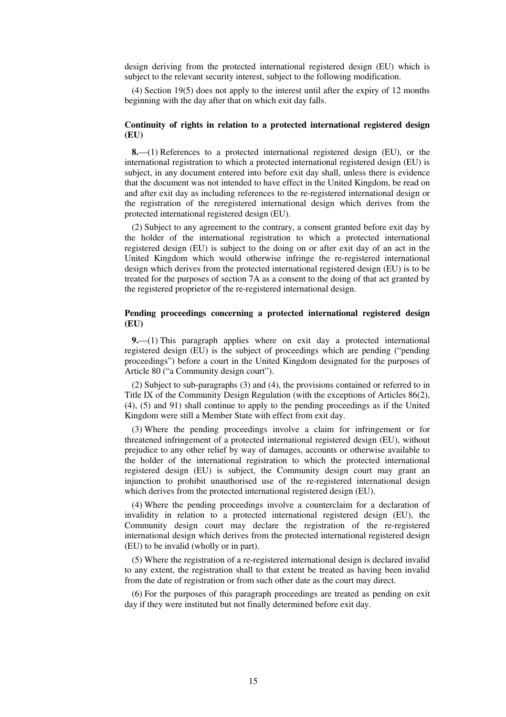design deriving from the protected international registered design (EU) which is subject to the relevant security interest, subject to the following modification.

(4) Section 19(5) does not apply to the interest until after the expiry of 12 months beginning with the day after that on which exit day falls.

## **Continuity of rights in relation to a protected international registered design (EU)**

**8.**—(1) References to a protected international registered design (EU), or the international registration to which a protected international registered design (EU) is subject, in any document entered into before exit day shall, unless there is evidence that the document was not intended to have effect in the United Kingdom, be read on and after exit day as including references to the re-registered international design or the registration of the reregistered international design which derives from the protected international registered design (EU).

(2) Subject to any agreement to the contrary, a consent granted before exit day by the holder of the international registration to which a protected international registered design (EU) is subject to the doing on or after exit day of an act in the United Kingdom which would otherwise infringe the re-registered international design which derives from the protected international registered design (EU) is to be treated for the purposes of section 7A as a consent to the doing of that act granted by the registered proprietor of the re-registered international design.

## **Pending proceedings concerning a protected international registered design (EU)**

**9.**—(1) This paragraph applies where on exit day a protected international registered design (EU) is the subject of proceedings which are pending ("pending proceedings") before a court in the United Kingdom designated for the purposes of Article 80 ("a Community design court").

(2) Subject to sub-paragraphs (3) and (4), the provisions contained or referred to in Title IX of the Community Design Regulation (with the exceptions of Articles 86(2), (4), (5) and 91) shall continue to apply to the pending proceedings as if the United Kingdom were still a Member State with effect from exit day.

(3) Where the pending proceedings involve a claim for infringement or for threatened infringement of a protected international registered design (EU), without prejudice to any other relief by way of damages, accounts or otherwise available to the holder of the international registration to which the protected international registered design (EU) is subject, the Community design court may grant an injunction to prohibit unauthorised use of the re-registered international design which derives from the protected international registered design (EU).

(4) Where the pending proceedings involve a counterclaim for a declaration of invalidity in relation to a protected international registered design (EU), the Community design court may declare the registration of the re-registered international design which derives from the protected international registered design (EU) to be invalid (wholly or in part).

(5) Where the registration of a re-registered international design is declared invalid to any extent, the registration shall to that extent be treated as having been invalid from the date of registration or from such other date as the court may direct.

(6) For the purposes of this paragraph proceedings are treated as pending on exit day if they were instituted but not finally determined before exit day.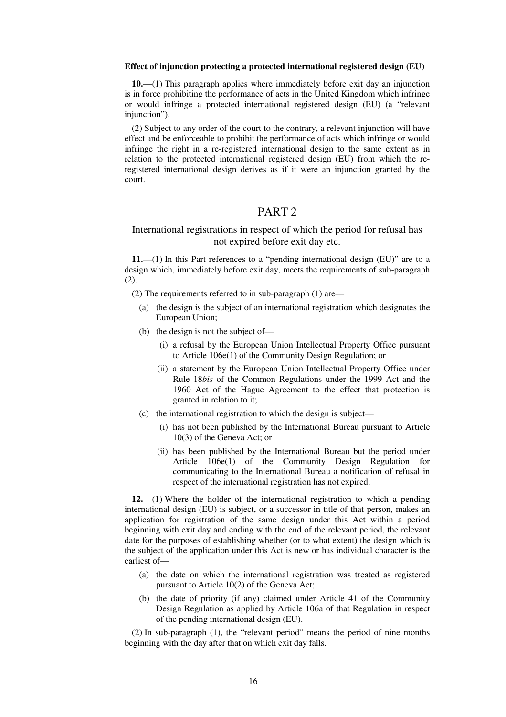#### **Effect of injunction protecting a protected international registered design (EU)**

**10.**—(1) This paragraph applies where immediately before exit day an injunction is in force prohibiting the performance of acts in the United Kingdom which infringe or would infringe a protected international registered design (EU) (a "relevant injunction").

(2) Subject to any order of the court to the contrary, a relevant injunction will have effect and be enforceable to prohibit the performance of acts which infringe or would infringe the right in a re-registered international design to the same extent as in relation to the protected international registered design (EU) from which the reregistered international design derives as if it were an injunction granted by the court.

## PART 2

## International registrations in respect of which the period for refusal has not expired before exit day etc.

**11.**—(1) In this Part references to a "pending international design (EU)" are to a design which, immediately before exit day, meets the requirements of sub-paragraph (2).

(2) The requirements referred to in sub-paragraph (1) are—

- (a) the design is the subject of an international registration which designates the European Union;
- (b) the design is not the subject of—
	- (i) a refusal by the European Union Intellectual Property Office pursuant to Article 106e(1) of the Community Design Regulation; or
	- (ii) a statement by the European Union Intellectual Property Office under Rule 18*bis* of the Common Regulations under the 1999 Act and the 1960 Act of the Hague Agreement to the effect that protection is granted in relation to it;
- (c) the international registration to which the design is subject—
	- (i) has not been published by the International Bureau pursuant to Article 10(3) of the Geneva Act; or
	- (ii) has been published by the International Bureau but the period under Article 106e(1) of the Community Design Regulation for communicating to the International Bureau a notification of refusal in respect of the international registration has not expired.

**12.**—(1) Where the holder of the international registration to which a pending international design (EU) is subject, or a successor in title of that person, makes an application for registration of the same design under this Act within a period beginning with exit day and ending with the end of the relevant period, the relevant date for the purposes of establishing whether (or to what extent) the design which is the subject of the application under this Act is new or has individual character is the earliest of—

- (a) the date on which the international registration was treated as registered pursuant to Article 10(2) of the Geneva Act;
- (b) the date of priority (if any) claimed under Article 41 of the Community Design Regulation as applied by Article 106a of that Regulation in respect of the pending international design (EU).

(2) In sub-paragraph (1), the "relevant period" means the period of nine months beginning with the day after that on which exit day falls.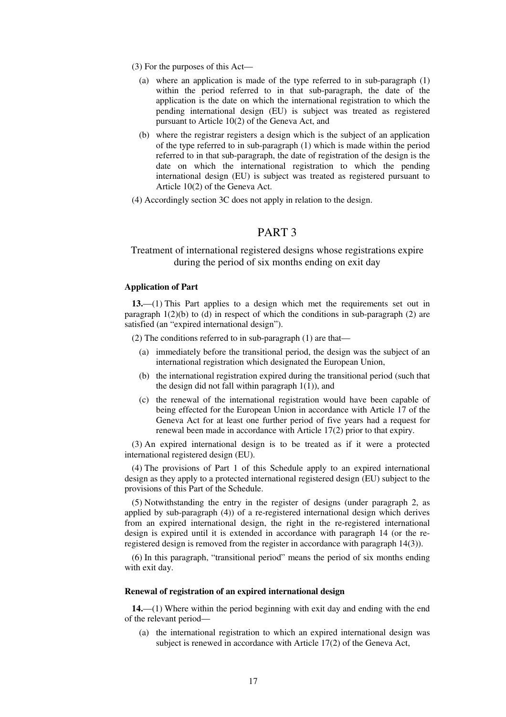- (3) For the purposes of this Act—
	- (a) where an application is made of the type referred to in sub-paragraph (1) within the period referred to in that sub-paragraph, the date of the application is the date on which the international registration to which the pending international design (EU) is subject was treated as registered pursuant to Article 10(2) of the Geneva Act, and
	- (b) where the registrar registers a design which is the subject of an application of the type referred to in sub-paragraph (1) which is made within the period referred to in that sub-paragraph, the date of registration of the design is the date on which the international registration to which the pending international design (EU) is subject was treated as registered pursuant to Article 10(2) of the Geneva Act.
- (4) Accordingly section 3C does not apply in relation to the design.

## PART 3

## Treatment of international registered designs whose registrations expire during the period of six months ending on exit day

## **Application of Part**

**13.**—(1) This Part applies to a design which met the requirements set out in paragraph  $1(2)(b)$  to (d) in respect of which the conditions in sub-paragraph (2) are satisfied (an "expired international design").

(2) The conditions referred to in sub-paragraph (1) are that—

- (a) immediately before the transitional period, the design was the subject of an international registration which designated the European Union,
- (b) the international registration expired during the transitional period (such that the design did not fall within paragraph  $1(1)$ ), and
- (c) the renewal of the international registration would have been capable of being effected for the European Union in accordance with Article 17 of the Geneva Act for at least one further period of five years had a request for renewal been made in accordance with Article 17(2) prior to that expiry.

(3) An expired international design is to be treated as if it were a protected international registered design (EU).

(4) The provisions of Part 1 of this Schedule apply to an expired international design as they apply to a protected international registered design (EU) subject to the provisions of this Part of the Schedule.

(5) Notwithstanding the entry in the register of designs (under paragraph 2, as applied by sub-paragraph (4)) of a re-registered international design which derives from an expired international design, the right in the re-registered international design is expired until it is extended in accordance with paragraph 14 (or the reregistered design is removed from the register in accordance with paragraph 14(3)).

(6) In this paragraph, "transitional period" means the period of six months ending with exit day.

### **Renewal of registration of an expired international design**

**14.**—(1) Where within the period beginning with exit day and ending with the end of the relevant period—

(a) the international registration to which an expired international design was subject is renewed in accordance with Article 17(2) of the Geneva Act,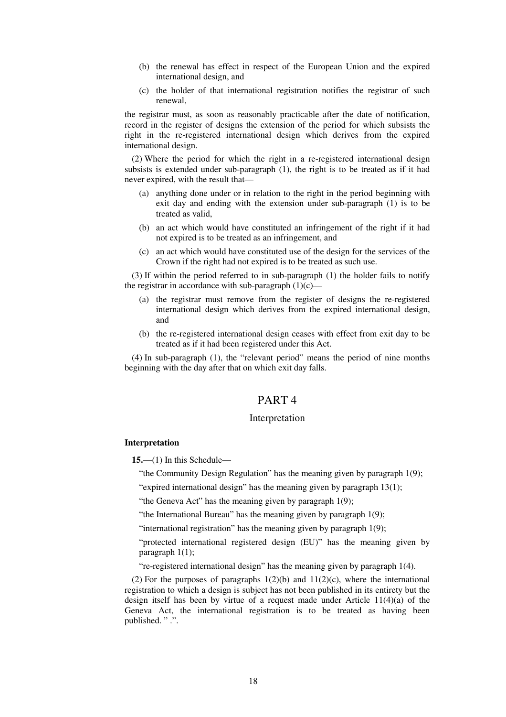- (b) the renewal has effect in respect of the European Union and the expired international design, and
- (c) the holder of that international registration notifies the registrar of such renewal,

the registrar must, as soon as reasonably practicable after the date of notification, record in the register of designs the extension of the period for which subsists the right in the re-registered international design which derives from the expired international design.

(2) Where the period for which the right in a re-registered international design subsists is extended under sub-paragraph (1), the right is to be treated as if it had never expired, with the result that—

- (a) anything done under or in relation to the right in the period beginning with exit day and ending with the extension under sub-paragraph (1) is to be treated as valid,
- (b) an act which would have constituted an infringement of the right if it had not expired is to be treated as an infringement, and
- (c) an act which would have constituted use of the design for the services of the Crown if the right had not expired is to be treated as such use.

(3) If within the period referred to in sub-paragraph (1) the holder fails to notify the registrar in accordance with sub-paragraph  $(1)(c)$ 

- (a) the registrar must remove from the register of designs the re-registered international design which derives from the expired international design, and
- (b) the re-registered international design ceases with effect from exit day to be treated as if it had been registered under this Act.

(4) In sub-paragraph (1), the "relevant period" means the period of nine months beginning with the day after that on which exit day falls.

## PART 4

### Interpretation

### **Interpretation**

**15.**—(1) In this Schedule—

"the Community Design Regulation" has the meaning given by paragraph 1(9);

"expired international design" has the meaning given by paragraph 13(1);

"the Geneva Act" has the meaning given by paragraph 1(9);

"the International Bureau" has the meaning given by paragraph 1(9);

"international registration" has the meaning given by paragraph 1(9);

"protected international registered design (EU)" has the meaning given by paragraph 1(1);

"re-registered international design" has the meaning given by paragraph 1(4).

(2) For the purposes of paragraphs  $1(2)(b)$  and  $11(2)(c)$ , where the international registration to which a design is subject has not been published in its entirety but the design itself has been by virtue of a request made under Article 11(4)(a) of the Geneva Act, the international registration is to be treated as having been published. " .".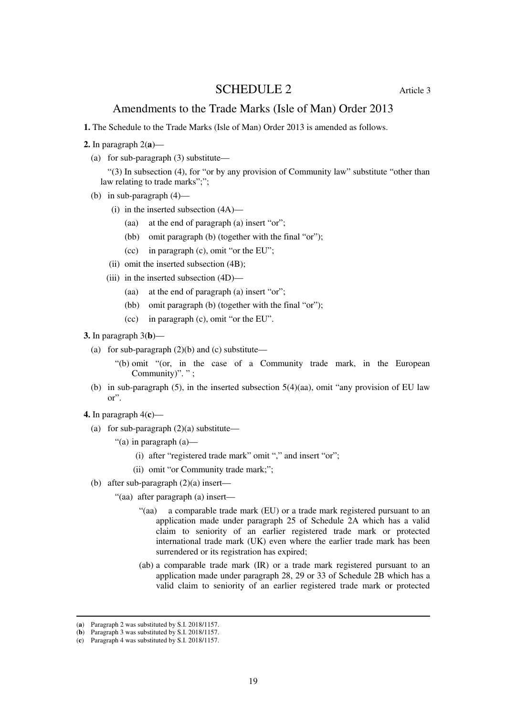## SCHEDULE 2 Article 3

## Amendments to the Trade Marks (Isle of Man) Order 2013

**1.** The Schedule to the Trade Marks (Isle of Man) Order 2013 is amended as follows.

- **2.** In paragraph 2(**a**)—
	- (a) for sub-paragraph (3) substitute—

"(3) In subsection (4), for "or by any provision of Community law" substitute "other than law relating to trade marks";";

- (b) in sub-paragraph (4)—
	- (i) in the inserted subsection (4A)—
		- (aa) at the end of paragraph (a) insert "or";
		- (bb) omit paragraph (b) (together with the final "or");
		- (cc) in paragraph (c), omit "or the EU";
	- (ii) omit the inserted subsection (4B);
	- (iii) in the inserted subsection (4D)—
		- (aa) at the end of paragraph (a) insert "or";
		- (bb) omit paragraph (b) (together with the final "or");
		- (cc) in paragraph (c), omit "or the EU".

### **3.** In paragraph 3(**b**)—

- (a) for sub-paragraph  $(2)(b)$  and (c) substitute—
	- "(b) omit "(or, in the case of a Community trade mark, in the European Community)". ";
- (b) in sub-paragraph (5), in the inserted subsection  $5(4)(aa)$ , omit "any provision of EU law or".
- **4.** In paragraph 4(**c**)—
	- (a) for sub-paragraph  $(2)(a)$  substitute—
		- "(a) in paragraph (a)—
			- (i) after "registered trade mark" omit "," and insert "or";
			- (ii) omit "or Community trade mark;";
	- (b) after sub-paragraph (2)(a) insert—
		- "(aa) after paragraph (a) insert—
			- "(aa) a comparable trade mark (EU) or a trade mark registered pursuant to an application made under paragraph 25 of Schedule 2A which has a valid claim to seniority of an earlier registered trade mark or protected international trade mark (UK) even where the earlier trade mark has been surrendered or its registration has expired;
			- (ab) a comparable trade mark (IR) or a trade mark registered pursuant to an application made under paragraph 28, 29 or 33 of Schedule 2B which has a valid claim to seniority of an earlier registered trade mark or protected

-

<sup>(</sup>**a**) Paragraph 2 was substituted by S.I. 2018/1157.

<sup>(</sup>**b**) Paragraph 3 was substituted by S.I. 2018/1157.

<sup>(</sup>**c**) Paragraph 4 was substituted by S.I. 2018/1157.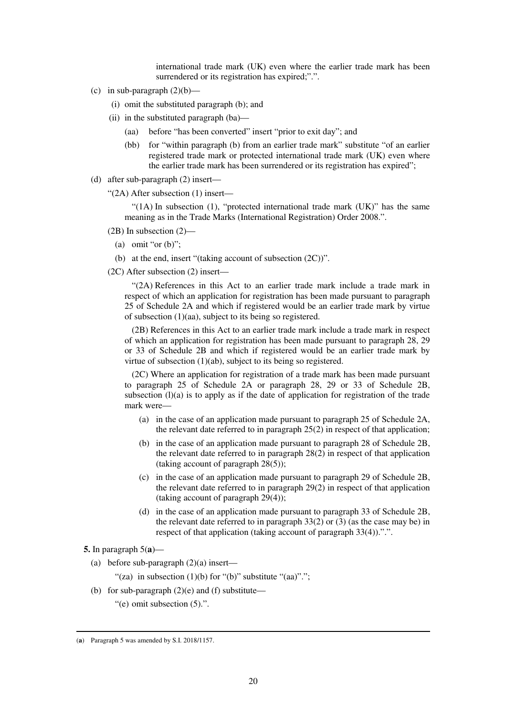international trade mark (UK) even where the earlier trade mark has been surrendered or its registration has expired;".".

- (c) in sub-paragraph  $(2)(b)$ 
	- (i) omit the substituted paragraph (b); and
	- (ii) in the substituted paragraph (ba)—
		- (aa) before "has been converted" insert "prior to exit day"; and
		- (bb) for "within paragraph (b) from an earlier trade mark" substitute "of an earlier registered trade mark or protected international trade mark (UK) even where the earlier trade mark has been surrendered or its registration has expired";
- (d) after sub-paragraph (2) insert—
	- "(2A) After subsection (1) insert—

"(1A) In subsection (1), "protected international trade mark (UK)" has the same meaning as in the Trade Marks (International Registration) Order 2008.".

- (2B) In subsection (2)—
	- (a) omit "or  $(b)$ ";
	- (b) at the end, insert "(taking account of subsection (2C))".
- (2C) After subsection (2) insert—

"(2A) References in this Act to an earlier trade mark include a trade mark in respect of which an application for registration has been made pursuant to paragraph 25 of Schedule 2A and which if registered would be an earlier trade mark by virtue of subsection (1)(aa), subject to its being so registered.

(2B) References in this Act to an earlier trade mark include a trade mark in respect of which an application for registration has been made pursuant to paragraph 28, 29 or 33 of Schedule 2B and which if registered would be an earlier trade mark by virtue of subsection (1)(ab), subject to its being so registered.

(2C) Where an application for registration of a trade mark has been made pursuant to paragraph 25 of Schedule 2A or paragraph 28, 29 or 33 of Schedule 2B, subsection  $(l)(a)$  is to apply as if the date of application for registration of the trade mark were—

- (a) in the case of an application made pursuant to paragraph 25 of Schedule 2A, the relevant date referred to in paragraph 25(2) in respect of that application;
- (b) in the case of an application made pursuant to paragraph 28 of Schedule 2B, the relevant date referred to in paragraph 28(2) in respect of that application (taking account of paragraph 28(5));
- (c) in the case of an application made pursuant to paragraph 29 of Schedule 2B, the relevant date referred to in paragraph 29(2) in respect of that application (taking account of paragraph 29(4));
- (d) in the case of an application made pursuant to paragraph 33 of Schedule 2B, the relevant date referred to in paragraph 33(2) or (3) (as the case may be) in respect of that application (taking account of paragraph 33(4)).".".

#### **5.** In paragraph 5(**a**)—

-

(a) before sub-paragraph  $(2)(a)$  insert—

"(za) in subsection  $(1)(b)$  for " $(b)$ " substitute " $(aa)$ ".";

(b) for sub-paragraph  $(2)(e)$  and  $(f)$  substitute—

"(e) omit subsection (5).".

<sup>(</sup>**a**) Paragraph 5 was amended by S.I. 2018/1157.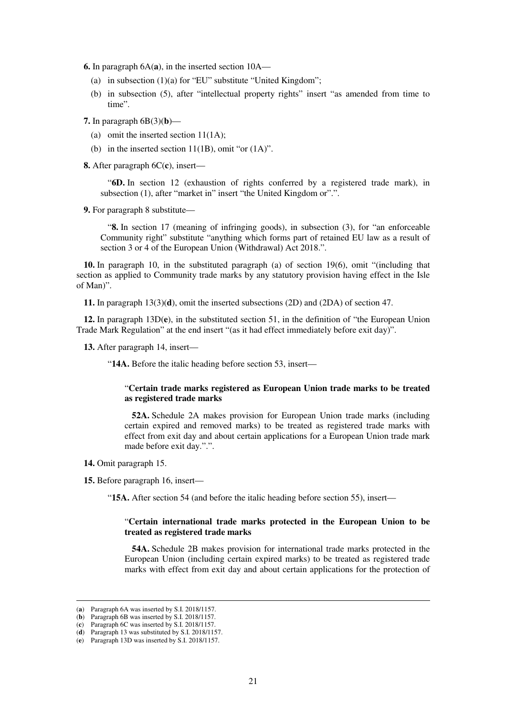**6.** In paragraph 6A(**a**), in the inserted section 10A—

- (a) in subsection  $(1)(a)$  for "EU" substitute "United Kingdom";
- (b) in subsection (5), after "intellectual property rights" insert "as amended from time to time".

**7.** In paragraph 6B(3)(**b**)—

- (a) omit the inserted section 11(1A);
- (b) in the inserted section 11(1B), omit "or  $(1A)$ ".

**8.** After paragraph 6C(**c**), insert—

"**6D.** In section 12 (exhaustion of rights conferred by a registered trade mark), in subsection (1), after "market in" insert "the United Kingdom or".".

**9.** For paragraph 8 substitute—

"**8.** In section 17 (meaning of infringing goods), in subsection (3), for "an enforceable Community right" substitute "anything which forms part of retained EU law as a result of section 3 or 4 of the European Union (Withdrawal) Act 2018.".

**10.** In paragraph 10, in the substituted paragraph (a) of section 19(6), omit "(including that section as applied to Community trade marks by any statutory provision having effect in the Isle of Man)".

**11.** In paragraph 13(3)(**d**), omit the inserted subsections (2D) and (2DA) of section 47.

**12.** In paragraph 13D(**e**), in the substituted section 51, in the definition of "the European Union Trade Mark Regulation" at the end insert "(as it had effect immediately before exit day)".

**13.** After paragraph 14, insert—

"**14A.** Before the italic heading before section 53, insert—

## "**Certain trade marks registered as European Union trade marks to be treated as registered trade marks**

**52A.** Schedule 2A makes provision for European Union trade marks (including certain expired and removed marks) to be treated as registered trade marks with effect from exit day and about certain applications for a European Union trade mark made before exit day.".".

**14.** Omit paragraph 15.

**15.** Before paragraph 16, insert—

"**15A.** After section 54 (and before the italic heading before section 55), insert—

## "**Certain international trade marks protected in the European Union to be treated as registered trade marks**

**54A.** Schedule 2B makes provision for international trade marks protected in the European Union (including certain expired marks) to be treated as registered trade marks with effect from exit day and about certain applications for the protection of

-

<sup>(</sup>**a**) Paragraph 6A was inserted by S.I. 2018/1157.

<sup>(</sup>**b**) Paragraph 6B was inserted by S.I. 2018/1157.

<sup>(</sup>**c**) Paragraph 6C was inserted by S.I. 2018/1157.

<sup>(</sup>**d**) Paragraph 13 was substituted by S.I. 2018/1157. (**e**) Paragraph 13D was inserted by S.I. 2018/1157.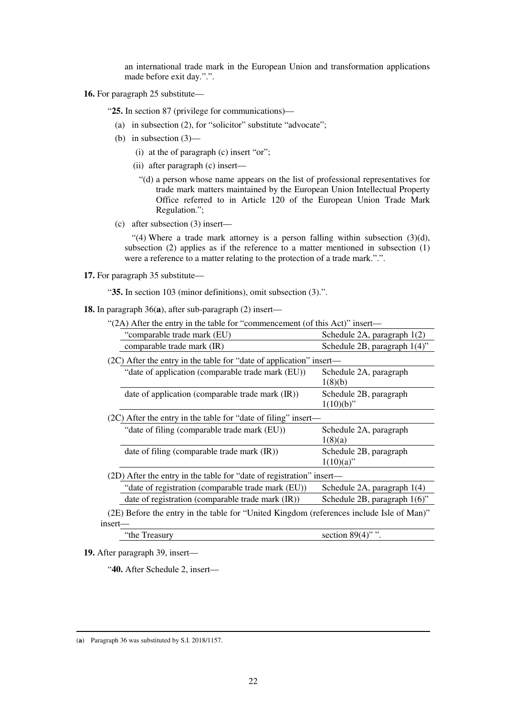an international trade mark in the European Union and transformation applications made before exit day.".".

**16.** For paragraph 25 substitute—

"**25.** In section 87 (privilege for communications)—

- (a) in subsection (2), for "solicitor" substitute "advocate";
- (b) in subsection (3)—
	- (i) at the of paragraph (c) insert "or";
	- (ii) after paragraph (c) insert—
		- "(d) a person whose name appears on the list of professional representatives for trade mark matters maintained by the European Union Intellectual Property Office referred to in Article 120 of the European Union Trade Mark Regulation.";
- (c) after subsection (3) insert—

"(4) Where a trade mark attorney is a person falling within subsection  $(3)(d)$ , subsection (2) applies as if the reference to a matter mentioned in subsection  $(1)$ were a reference to a matter relating to the protection of a trade mark.".".

**17.** For paragraph 35 substitute—

"**35.** In section 103 (minor definitions), omit subsection (3).".

**18.** In paragraph 36(**a**), after sub-paragraph (2) insert—

|  |  |  |  | "(2A) After the entry in the table for "commencement (of this Act)" insert— |  |  |
|--|--|--|--|-----------------------------------------------------------------------------|--|--|
|--|--|--|--|-----------------------------------------------------------------------------|--|--|

| "comparable trade mark (EU)                                                                         | Schedule 2A, paragraph 1(2)            |  |  |  |  |
|-----------------------------------------------------------------------------------------------------|----------------------------------------|--|--|--|--|
| comparable trade mark (IR)                                                                          | Schedule 2B, paragraph 1(4)"           |  |  |  |  |
| (2C) After the entry in the table for "date of application" insert—                                 |                                        |  |  |  |  |
| "date of application (comparable trade mark (EU))                                                   | Schedule 2A, paragraph<br>1(8)(b)      |  |  |  |  |
| date of application (comparable trade mark $(IR)$ )                                                 | Schedule 2B, paragraph<br>$1(10)(b)$ " |  |  |  |  |
| (2C) After the entry in the table for "date of filing" insert—                                      |                                        |  |  |  |  |
| "date of filing (comparable trade mark (EU))                                                        | Schedule 2A, paragraph<br>1(8)(a)      |  |  |  |  |
| date of filing (comparable trade mark (IR))                                                         | Schedule 2B, paragraph<br>$1(10)(a)$ " |  |  |  |  |
| (2D) After the entry in the table for "date of registration" insert—                                |                                        |  |  |  |  |
| "date of registration (comparable trade mark (EU))                                                  | Schedule 2A, paragraph 1(4)            |  |  |  |  |
| date of registration (comparable trade mark (IR))                                                   | Schedule 2B, paragraph 1(6)"           |  |  |  |  |
| (2E) Before the entry in the table for "United Kingdom (references include Isle of Man)"<br>insert- |                                        |  |  |  |  |
| "the Treasury"                                                                                      | section $89(4)$ ".                     |  |  |  |  |

**19.** After paragraph 39, insert—

"**40.** After Schedule 2, insert—

-

<sup>(</sup>**a**) Paragraph 36 was substituted by S.I. 2018/1157.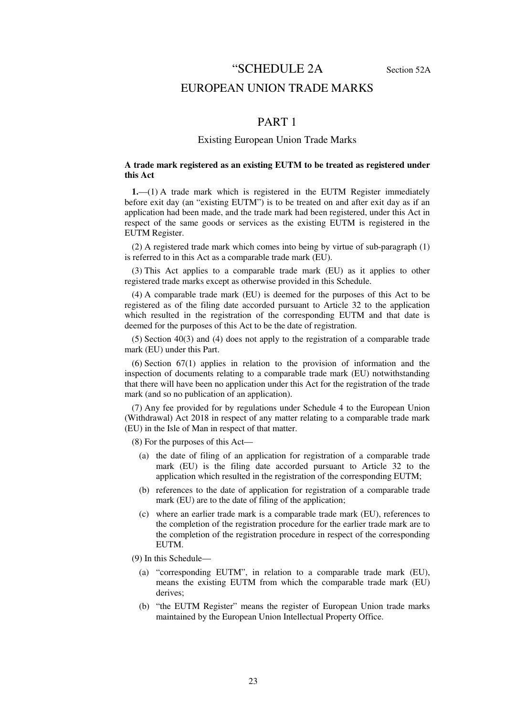## "SCHEDULE 2A Section 52A

## EUROPEAN UNION TRADE MARKS

## PART 1

## Existing European Union Trade Marks

## **A trade mark registered as an existing EUTM to be treated as registered under this Act**

**1.**—(1) A trade mark which is registered in the EUTM Register immediately before exit day (an "existing EUTM") is to be treated on and after exit day as if an application had been made, and the trade mark had been registered, under this Act in respect of the same goods or services as the existing EUTM is registered in the EUTM Register.

(2) A registered trade mark which comes into being by virtue of sub-paragraph (1) is referred to in this Act as a comparable trade mark (EU).

(3) This Act applies to a comparable trade mark (EU) as it applies to other registered trade marks except as otherwise provided in this Schedule.

(4) A comparable trade mark (EU) is deemed for the purposes of this Act to be registered as of the filing date accorded pursuant to Article 32 to the application which resulted in the registration of the corresponding EUTM and that date is deemed for the purposes of this Act to be the date of registration.

(5) Section 40(3) and (4) does not apply to the registration of a comparable trade mark (EU) under this Part.

(6) Section 67(1) applies in relation to the provision of information and the inspection of documents relating to a comparable trade mark (EU) notwithstanding that there will have been no application under this Act for the registration of the trade mark (and so no publication of an application).

(7) Any fee provided for by regulations under Schedule 4 to the European Union (Withdrawal) Act 2018 in respect of any matter relating to a comparable trade mark (EU) in the Isle of Man in respect of that matter.

(8) For the purposes of this Act—

- (a) the date of filing of an application for registration of a comparable trade mark (EU) is the filing date accorded pursuant to Article 32 to the application which resulted in the registration of the corresponding EUTM;
- (b) references to the date of application for registration of a comparable trade mark (EU) are to the date of filing of the application;
- (c) where an earlier trade mark is a comparable trade mark (EU), references to the completion of the registration procedure for the earlier trade mark are to the completion of the registration procedure in respect of the corresponding EUTM.
- (9) In this Schedule—
	- (a) "corresponding EUTM", in relation to a comparable trade mark (EU), means the existing EUTM from which the comparable trade mark (EU) derives;
	- (b) "the EUTM Register" means the register of European Union trade marks maintained by the European Union Intellectual Property Office.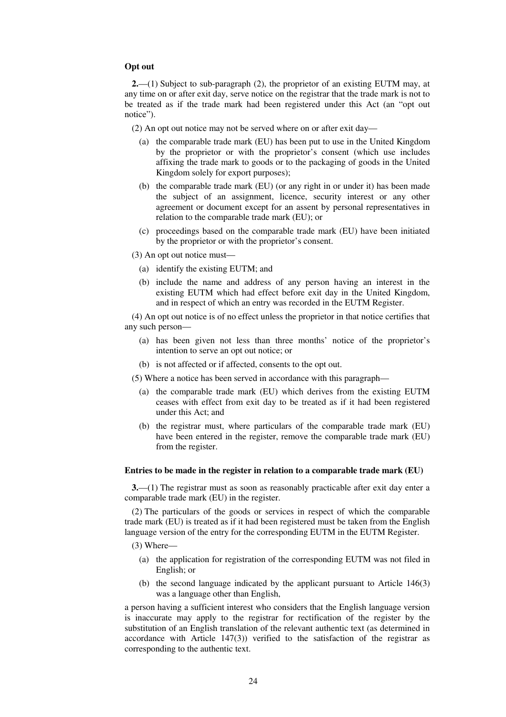### **Opt out**

**2.**—(1) Subject to sub-paragraph (2), the proprietor of an existing EUTM may, at any time on or after exit day, serve notice on the registrar that the trade mark is not to be treated as if the trade mark had been registered under this Act (an "opt out notice").

(2) An opt out notice may not be served where on or after exit day—

- (a) the comparable trade mark (EU) has been put to use in the United Kingdom by the proprietor or with the proprietor's consent (which use includes affixing the trade mark to goods or to the packaging of goods in the United Kingdom solely for export purposes);
- (b) the comparable trade mark (EU) (or any right in or under it) has been made the subject of an assignment, licence, security interest or any other agreement or document except for an assent by personal representatives in relation to the comparable trade mark (EU); or
- (c) proceedings based on the comparable trade mark (EU) have been initiated by the proprietor or with the proprietor's consent.

(3) An opt out notice must—

- (a) identify the existing EUTM; and
- (b) include the name and address of any person having an interest in the existing EUTM which had effect before exit day in the United Kingdom, and in respect of which an entry was recorded in the EUTM Register.

(4) An opt out notice is of no effect unless the proprietor in that notice certifies that any such person—

- (a) has been given not less than three months' notice of the proprietor's intention to serve an opt out notice; or
- (b) is not affected or if affected, consents to the opt out.
- (5) Where a notice has been served in accordance with this paragraph—
	- (a) the comparable trade mark (EU) which derives from the existing EUTM ceases with effect from exit day to be treated as if it had been registered under this Act; and
	- (b) the registrar must, where particulars of the comparable trade mark (EU) have been entered in the register, remove the comparable trade mark (EU) from the register.

### **Entries to be made in the register in relation to a comparable trade mark (EU)**

**3.**—(1) The registrar must as soon as reasonably practicable after exit day enter a comparable trade mark (EU) in the register.

(2) The particulars of the goods or services in respect of which the comparable trade mark (EU) is treated as if it had been registered must be taken from the English language version of the entry for the corresponding EUTM in the EUTM Register.

(3) Where—

- (a) the application for registration of the corresponding EUTM was not filed in English; or
- (b) the second language indicated by the applicant pursuant to Article 146(3) was a language other than English,

a person having a sufficient interest who considers that the English language version is inaccurate may apply to the registrar for rectification of the register by the substitution of an English translation of the relevant authentic text (as determined in accordance with Article  $147(3)$ ) verified to the satisfaction of the registrar as corresponding to the authentic text.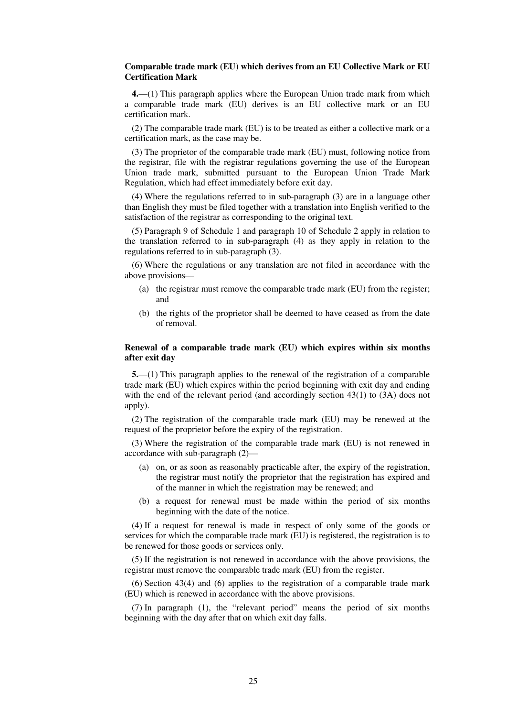### **Comparable trade mark (EU) which derives from an EU Collective Mark or EU Certification Mark**

**4.**—(1) This paragraph applies where the European Union trade mark from which a comparable trade mark (EU) derives is an EU collective mark or an EU certification mark.

(2) The comparable trade mark (EU) is to be treated as either a collective mark or a certification mark, as the case may be.

(3) The proprietor of the comparable trade mark (EU) must, following notice from the registrar, file with the registrar regulations governing the use of the European Union trade mark, submitted pursuant to the European Union Trade Mark Regulation, which had effect immediately before exit day.

(4) Where the regulations referred to in sub-paragraph (3) are in a language other than English they must be filed together with a translation into English verified to the satisfaction of the registrar as corresponding to the original text.

(5) Paragraph 9 of Schedule 1 and paragraph 10 of Schedule 2 apply in relation to the translation referred to in sub-paragraph (4) as they apply in relation to the regulations referred to in sub-paragraph (3).

(6) Where the regulations or any translation are not filed in accordance with the above provisions—

- (a) the registrar must remove the comparable trade mark (EU) from the register; and
- (b) the rights of the proprietor shall be deemed to have ceased as from the date of removal.

## **Renewal of a comparable trade mark (EU) which expires within six months after exit day**

**5.**—(1) This paragraph applies to the renewal of the registration of a comparable trade mark (EU) which expires within the period beginning with exit day and ending with the end of the relevant period (and accordingly section 43(1) to (3A) does not apply).

(2) The registration of the comparable trade mark (EU) may be renewed at the request of the proprietor before the expiry of the registration.

(3) Where the registration of the comparable trade mark (EU) is not renewed in accordance with sub-paragraph (2)—

- (a) on, or as soon as reasonably practicable after, the expiry of the registration, the registrar must notify the proprietor that the registration has expired and of the manner in which the registration may be renewed; and
- (b) a request for renewal must be made within the period of six months beginning with the date of the notice.

(4) If a request for renewal is made in respect of only some of the goods or services for which the comparable trade mark (EU) is registered, the registration is to be renewed for those goods or services only.

(5) If the registration is not renewed in accordance with the above provisions, the registrar must remove the comparable trade mark (EU) from the register.

(6) Section 43(4) and (6) applies to the registration of a comparable trade mark (EU) which is renewed in accordance with the above provisions.

(7) In paragraph (1), the "relevant period" means the period of six months beginning with the day after that on which exit day falls.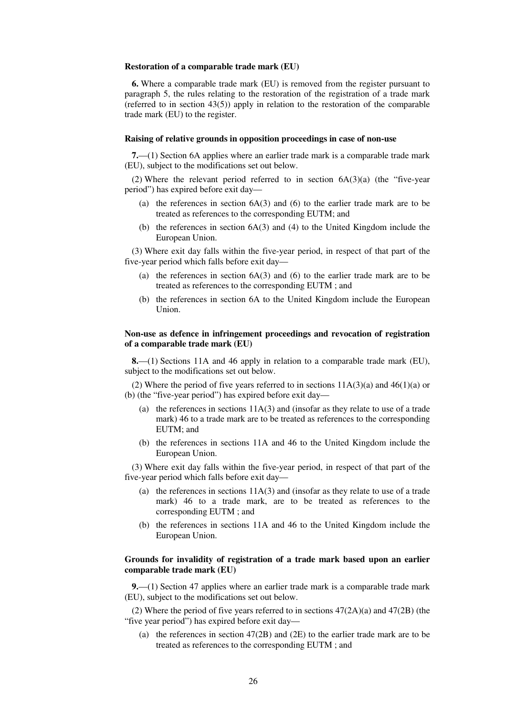#### **Restoration of a comparable trade mark (EU)**

**6.** Where a comparable trade mark (EU) is removed from the register pursuant to paragraph 5, the rules relating to the restoration of the registration of a trade mark (referred to in section 43(5)) apply in relation to the restoration of the comparable trade mark (EU) to the register.

#### **Raising of relative grounds in opposition proceedings in case of non-use**

**7.**—(1) Section 6A applies where an earlier trade mark is a comparable trade mark (EU), subject to the modifications set out below.

(2) Where the relevant period referred to in section  $6A(3)(a)$  (the "five-year period") has expired before exit day—

- (a) the references in section 6A(3) and (6) to the earlier trade mark are to be treated as references to the corresponding EUTM; and
- (b) the references in section 6A(3) and (4) to the United Kingdom include the European Union.

(3) Where exit day falls within the five-year period, in respect of that part of the five-year period which falls before exit day—

- (a) the references in section 6A(3) and (6) to the earlier trade mark are to be treated as references to the corresponding EUTM ; and
- (b) the references in section 6A to the United Kingdom include the European Union.

## **Non-use as defence in infringement proceedings and revocation of registration of a comparable trade mark (EU)**

**8.**—(1) Sections 11A and 46 apply in relation to a comparable trade mark (EU), subject to the modifications set out below.

(2) Where the period of five years referred to in sections  $11A(3)(a)$  and  $46(1)(a)$  or (b) (the "five-year period") has expired before exit day—

- (a) the references in sections 11A(3) and (insofar as they relate to use of a trade mark) 46 to a trade mark are to be treated as references to the corresponding EUTM; and
- (b) the references in sections 11A and 46 to the United Kingdom include the European Union.

(3) Where exit day falls within the five-year period, in respect of that part of the five-year period which falls before exit day—

- (a) the references in sections 11A(3) and (insofar as they relate to use of a trade mark) 46 to a trade mark, are to be treated as references to the corresponding EUTM ; and
- (b) the references in sections 11A and 46 to the United Kingdom include the European Union.

## **Grounds for invalidity of registration of a trade mark based upon an earlier comparable trade mark (EU)**

**9.**—(1) Section 47 applies where an earlier trade mark is a comparable trade mark (EU), subject to the modifications set out below.

(2) Where the period of five years referred to in sections 47(2A)(a) and 47(2B) (the "five year period") has expired before exit day—

(a) the references in section 47(2B) and (2E) to the earlier trade mark are to be treated as references to the corresponding EUTM ; and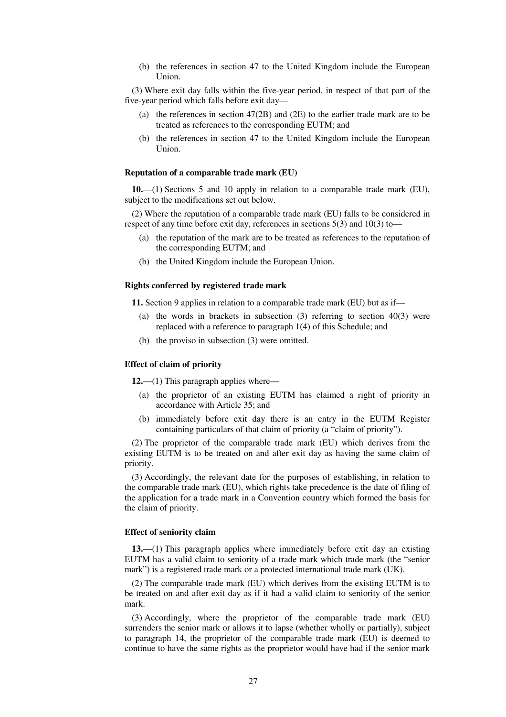(b) the references in section 47 to the United Kingdom include the European Union.

(3) Where exit day falls within the five-year period, in respect of that part of the five-year period which falls before exit day—

- (a) the references in section 47(2B) and (2E) to the earlier trade mark are to be treated as references to the corresponding EUTM; and
- (b) the references in section 47 to the United Kingdom include the European Union.

#### **Reputation of a comparable trade mark (EU)**

**10.**—(1) Sections 5 and 10 apply in relation to a comparable trade mark (EU), subject to the modifications set out below.

(2) Where the reputation of a comparable trade mark (EU) falls to be considered in respect of any time before exit day, references in sections 5(3) and 10(3) to—

- (a) the reputation of the mark are to be treated as references to the reputation of the corresponding EUTM; and
- (b) the United Kingdom include the European Union.

### **Rights conferred by registered trade mark**

**11.** Section 9 applies in relation to a comparable trade mark (EU) but as if—

- (a) the words in brackets in subsection  $(3)$  referring to section  $40(3)$  were replaced with a reference to paragraph 1(4) of this Schedule; and
- (b) the proviso in subsection (3) were omitted.

#### **Effect of claim of priority**

**12.**—(1) This paragraph applies where—

- (a) the proprietor of an existing EUTM has claimed a right of priority in accordance with Article 35; and
- (b) immediately before exit day there is an entry in the EUTM Register containing particulars of that claim of priority (a "claim of priority").

(2) The proprietor of the comparable trade mark (EU) which derives from the existing EUTM is to be treated on and after exit day as having the same claim of priority.

(3) Accordingly, the relevant date for the purposes of establishing, in relation to the comparable trade mark (EU), which rights take precedence is the date of filing of the application for a trade mark in a Convention country which formed the basis for the claim of priority.

#### **Effect of seniority claim**

**13.**—(1) This paragraph applies where immediately before exit day an existing EUTM has a valid claim to seniority of a trade mark which trade mark (the "senior mark") is a registered trade mark or a protected international trade mark (UK).

(2) The comparable trade mark (EU) which derives from the existing EUTM is to be treated on and after exit day as if it had a valid claim to seniority of the senior mark.

(3) Accordingly, where the proprietor of the comparable trade mark (EU) surrenders the senior mark or allows it to lapse (whether wholly or partially), subject to paragraph 14, the proprietor of the comparable trade mark (EU) is deemed to continue to have the same rights as the proprietor would have had if the senior mark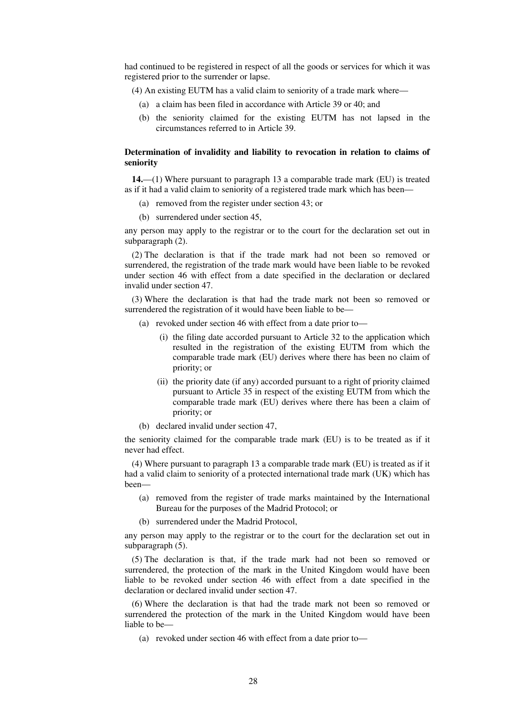had continued to be registered in respect of all the goods or services for which it was registered prior to the surrender or lapse.

(4) An existing EUTM has a valid claim to seniority of a trade mark where—

- (a) a claim has been filed in accordance with Article 39 or 40; and
- (b) the seniority claimed for the existing EUTM has not lapsed in the circumstances referred to in Article 39.

## **Determination of invalidity and liability to revocation in relation to claims of seniority**

**14.**—(1) Where pursuant to paragraph 13 a comparable trade mark (EU) is treated as if it had a valid claim to seniority of a registered trade mark which has been—

- (a) removed from the register under section 43; or
- (b) surrendered under section 45,

any person may apply to the registrar or to the court for the declaration set out in subparagraph (2).

(2) The declaration is that if the trade mark had not been so removed or surrendered, the registration of the trade mark would have been liable to be revoked under section 46 with effect from a date specified in the declaration or declared invalid under section 47.

(3) Where the declaration is that had the trade mark not been so removed or surrendered the registration of it would have been liable to be—

- (a) revoked under section 46 with effect from a date prior to—
	- (i) the filing date accorded pursuant to Article 32 to the application which resulted in the registration of the existing EUTM from which the comparable trade mark (EU) derives where there has been no claim of priority; or
	- (ii) the priority date (if any) accorded pursuant to a right of priority claimed pursuant to Article 35 in respect of the existing EUTM from which the comparable trade mark (EU) derives where there has been a claim of priority; or
- (b) declared invalid under section 47,

the seniority claimed for the comparable trade mark (EU) is to be treated as if it never had effect.

(4) Where pursuant to paragraph 13 a comparable trade mark (EU) is treated as if it had a valid claim to seniority of a protected international trade mark (UK) which has been—

- (a) removed from the register of trade marks maintained by the International Bureau for the purposes of the Madrid Protocol; or
- (b) surrendered under the Madrid Protocol,

any person may apply to the registrar or to the court for the declaration set out in subparagraph (5).

(5) The declaration is that, if the trade mark had not been so removed or surrendered, the protection of the mark in the United Kingdom would have been liable to be revoked under section 46 with effect from a date specified in the declaration or declared invalid under section 47.

(6) Where the declaration is that had the trade mark not been so removed or surrendered the protection of the mark in the United Kingdom would have been liable to be—

(a) revoked under section 46 with effect from a date prior to—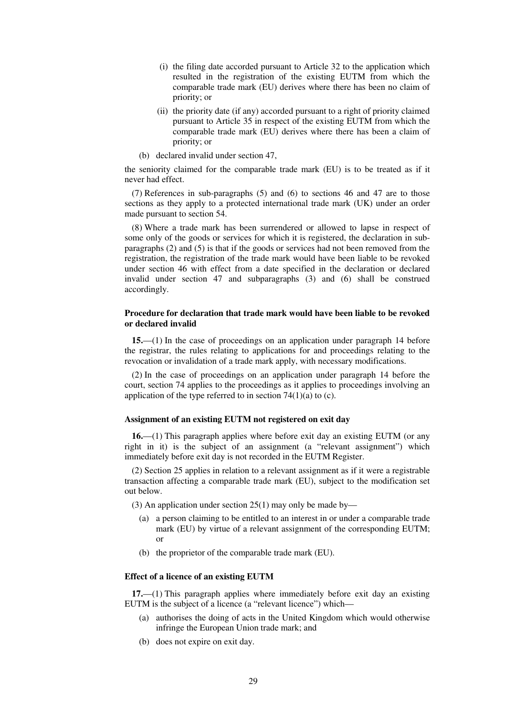- (i) the filing date accorded pursuant to Article 32 to the application which resulted in the registration of the existing EUTM from which the comparable trade mark (EU) derives where there has been no claim of priority; or
- (ii) the priority date (if any) accorded pursuant to a right of priority claimed pursuant to Article 35 in respect of the existing EUTM from which the comparable trade mark (EU) derives where there has been a claim of priority; or
- (b) declared invalid under section 47,

the seniority claimed for the comparable trade mark (EU) is to be treated as if it never had effect.

(7) References in sub-paragraphs (5) and (6) to sections 46 and 47 are to those sections as they apply to a protected international trade mark (UK) under an order made pursuant to section 54.

(8) Where a trade mark has been surrendered or allowed to lapse in respect of some only of the goods or services for which it is registered, the declaration in subparagraphs (2) and (5) is that if the goods or services had not been removed from the registration, the registration of the trade mark would have been liable to be revoked under section 46 with effect from a date specified in the declaration or declared invalid under section 47 and subparagraphs (3) and (6) shall be construed accordingly.

## **Procedure for declaration that trade mark would have been liable to be revoked or declared invalid**

**15.**—(1) In the case of proceedings on an application under paragraph 14 before the registrar, the rules relating to applications for and proceedings relating to the revocation or invalidation of a trade mark apply, with necessary modifications.

(2) In the case of proceedings on an application under paragraph 14 before the court, section 74 applies to the proceedings as it applies to proceedings involving an application of the type referred to in section  $74(1)(a)$  to (c).

### **Assignment of an existing EUTM not registered on exit day**

**16.**—(1) This paragraph applies where before exit day an existing EUTM (or any right in it) is the subject of an assignment (a "relevant assignment") which immediately before exit day is not recorded in the EUTM Register.

(2) Section 25 applies in relation to a relevant assignment as if it were a registrable transaction affecting a comparable trade mark (EU), subject to the modification set out below.

(3) An application under section 25(1) may only be made by—

- (a) a person claiming to be entitled to an interest in or under a comparable trade mark (EU) by virtue of a relevant assignment of the corresponding EUTM; or
- (b) the proprietor of the comparable trade mark (EU).

### **Effect of a licence of an existing EUTM**

**17.**—(1) This paragraph applies where immediately before exit day an existing EUTM is the subject of a licence (a "relevant licence") which—

- (a) authorises the doing of acts in the United Kingdom which would otherwise infringe the European Union trade mark; and
- (b) does not expire on exit day.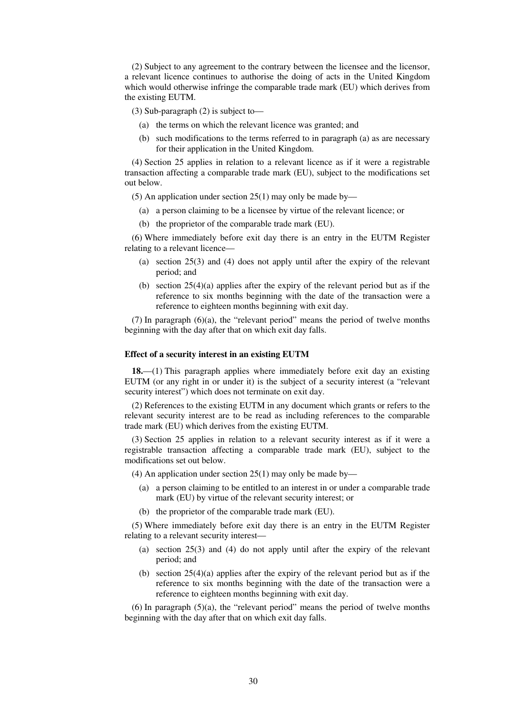(2) Subject to any agreement to the contrary between the licensee and the licensor, a relevant licence continues to authorise the doing of acts in the United Kingdom which would otherwise infringe the comparable trade mark (EU) which derives from the existing EUTM.

(3) Sub-paragraph (2) is subject to—

- (a) the terms on which the relevant licence was granted; and
- (b) such modifications to the terms referred to in paragraph (a) as are necessary for their application in the United Kingdom.

(4) Section 25 applies in relation to a relevant licence as if it were a registrable transaction affecting a comparable trade mark (EU), subject to the modifications set out below.

(5) An application under section  $25(1)$  may only be made by—

- (a) a person claiming to be a licensee by virtue of the relevant licence; or
- (b) the proprietor of the comparable trade mark (EU).

(6) Where immediately before exit day there is an entry in the EUTM Register relating to a relevant licence—

- (a) section 25(3) and (4) does not apply until after the expiry of the relevant period; and
- (b) section 25(4)(a) applies after the expiry of the relevant period but as if the reference to six months beginning with the date of the transaction were a reference to eighteen months beginning with exit day.

(7) In paragraph (6)(a), the "relevant period" means the period of twelve months beginning with the day after that on which exit day falls.

### **Effect of a security interest in an existing EUTM**

**18.**—(1) This paragraph applies where immediately before exit day an existing EUTM (or any right in or under it) is the subject of a security interest (a "relevant security interest") which does not terminate on exit day.

(2) References to the existing EUTM in any document which grants or refers to the relevant security interest are to be read as including references to the comparable trade mark (EU) which derives from the existing EUTM.

(3) Section 25 applies in relation to a relevant security interest as if it were a registrable transaction affecting a comparable trade mark (EU), subject to the modifications set out below.

- (4) An application under section  $25(1)$  may only be made by—
	- (a) a person claiming to be entitled to an interest in or under a comparable trade mark (EU) by virtue of the relevant security interest; or
	- (b) the proprietor of the comparable trade mark (EU).

(5) Where immediately before exit day there is an entry in the EUTM Register relating to a relevant security interest—

- (a) section 25(3) and (4) do not apply until after the expiry of the relevant period; and
- (b) section 25(4)(a) applies after the expiry of the relevant period but as if the reference to six months beginning with the date of the transaction were a reference to eighteen months beginning with exit day.

(6) In paragraph (5)(a), the "relevant period" means the period of twelve months beginning with the day after that on which exit day falls.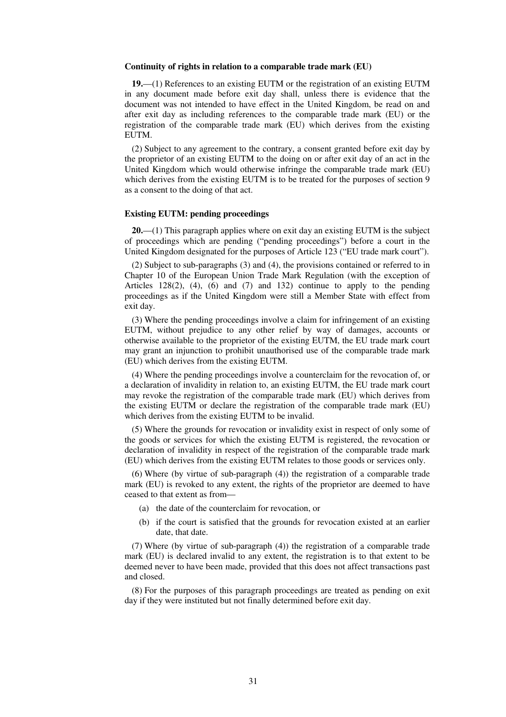#### **Continuity of rights in relation to a comparable trade mark (EU)**

**19.**—(1) References to an existing EUTM or the registration of an existing EUTM in any document made before exit day shall, unless there is evidence that the document was not intended to have effect in the United Kingdom, be read on and after exit day as including references to the comparable trade mark (EU) or the registration of the comparable trade mark (EU) which derives from the existing EUTM.

(2) Subject to any agreement to the contrary, a consent granted before exit day by the proprietor of an existing EUTM to the doing on or after exit day of an act in the United Kingdom which would otherwise infringe the comparable trade mark (EU) which derives from the existing EUTM is to be treated for the purposes of section 9 as a consent to the doing of that act.

### **Existing EUTM: pending proceedings**

**20.**—(1) This paragraph applies where on exit day an existing EUTM is the subject of proceedings which are pending ("pending proceedings") before a court in the United Kingdom designated for the purposes of Article 123 ("EU trade mark court").

(2) Subject to sub-paragraphs (3) and (4), the provisions contained or referred to in Chapter 10 of the European Union Trade Mark Regulation (with the exception of Articles  $128(2)$ ,  $(4)$ ,  $(6)$  and  $(7)$  and  $132$ ) continue to apply to the pending proceedings as if the United Kingdom were still a Member State with effect from exit day.

(3) Where the pending proceedings involve a claim for infringement of an existing EUTM, without prejudice to any other relief by way of damages, accounts or otherwise available to the proprietor of the existing EUTM, the EU trade mark court may grant an injunction to prohibit unauthorised use of the comparable trade mark (EU) which derives from the existing EUTM.

(4) Where the pending proceedings involve a counterclaim for the revocation of, or a declaration of invalidity in relation to, an existing EUTM, the EU trade mark court may revoke the registration of the comparable trade mark (EU) which derives from the existing EUTM or declare the registration of the comparable trade mark (EU) which derives from the existing EUTM to be invalid.

(5) Where the grounds for revocation or invalidity exist in respect of only some of the goods or services for which the existing EUTM is registered, the revocation or declaration of invalidity in respect of the registration of the comparable trade mark (EU) which derives from the existing EUTM relates to those goods or services only.

(6) Where (by virtue of sub-paragraph (4)) the registration of a comparable trade mark (EU) is revoked to any extent, the rights of the proprietor are deemed to have ceased to that extent as from—

- (a) the date of the counterclaim for revocation, or
- (b) if the court is satisfied that the grounds for revocation existed at an earlier date, that date.

(7) Where (by virtue of sub-paragraph (4)) the registration of a comparable trade mark (EU) is declared invalid to any extent, the registration is to that extent to be deemed never to have been made, provided that this does not affect transactions past and closed.

(8) For the purposes of this paragraph proceedings are treated as pending on exit day if they were instituted but not finally determined before exit day.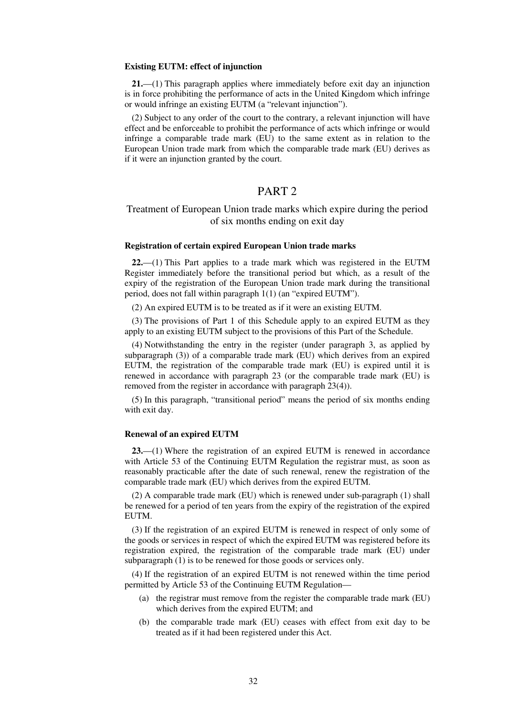#### **Existing EUTM: effect of injunction**

**21.**—(1) This paragraph applies where immediately before exit day an injunction is in force prohibiting the performance of acts in the United Kingdom which infringe or would infringe an existing EUTM (a "relevant injunction").

(2) Subject to any order of the court to the contrary, a relevant injunction will have effect and be enforceable to prohibit the performance of acts which infringe or would infringe a comparable trade mark (EU) to the same extent as in relation to the European Union trade mark from which the comparable trade mark (EU) derives as if it were an injunction granted by the court.

## PART 2

## Treatment of European Union trade marks which expire during the period of six months ending on exit day

### **Registration of certain expired European Union trade marks**

**22.**—(1) This Part applies to a trade mark which was registered in the EUTM Register immediately before the transitional period but which, as a result of the expiry of the registration of the European Union trade mark during the transitional period, does not fall within paragraph 1(1) (an "expired EUTM").

(2) An expired EUTM is to be treated as if it were an existing EUTM.

(3) The provisions of Part 1 of this Schedule apply to an expired EUTM as they apply to an existing EUTM subject to the provisions of this Part of the Schedule.

(4) Notwithstanding the entry in the register (under paragraph 3, as applied by subparagraph (3)) of a comparable trade mark (EU) which derives from an expired EUTM, the registration of the comparable trade mark (EU) is expired until it is renewed in accordance with paragraph 23 (or the comparable trade mark (EU) is removed from the register in accordance with paragraph 23(4)).

(5) In this paragraph, "transitional period" means the period of six months ending with exit day.

### **Renewal of an expired EUTM**

**23.**—(1) Where the registration of an expired EUTM is renewed in accordance with Article 53 of the Continuing EUTM Regulation the registrar must, as soon as reasonably practicable after the date of such renewal, renew the registration of the comparable trade mark (EU) which derives from the expired EUTM.

(2) A comparable trade mark (EU) which is renewed under sub-paragraph (1) shall be renewed for a period of ten years from the expiry of the registration of the expired EUTM.

(3) If the registration of an expired EUTM is renewed in respect of only some of the goods or services in respect of which the expired EUTM was registered before its registration expired, the registration of the comparable trade mark (EU) under subparagraph (1) is to be renewed for those goods or services only.

(4) If the registration of an expired EUTM is not renewed within the time period permitted by Article 53 of the Continuing EUTM Regulation—

- (a) the registrar must remove from the register the comparable trade mark (EU) which derives from the expired EUTM; and
- (b) the comparable trade mark (EU) ceases with effect from exit day to be treated as if it had been registered under this Act.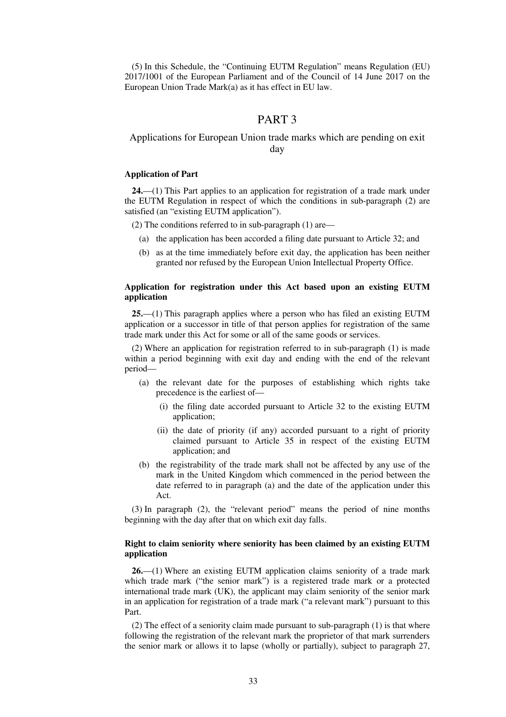(5) In this Schedule, the "Continuing EUTM Regulation" means Regulation (EU) 2017/1001 of the European Parliament and of the Council of 14 June 2017 on the European Union Trade Mark(a) as it has effect in EU law.

## PART 3

## Applications for European Union trade marks which are pending on exit day

### **Application of Part**

**24.**—(1) This Part applies to an application for registration of a trade mark under the EUTM Regulation in respect of which the conditions in sub-paragraph (2) are satisfied (an "existing EUTM application").

(2) The conditions referred to in sub-paragraph (1) are—

- (a) the application has been accorded a filing date pursuant to Article 32; and
- (b) as at the time immediately before exit day, the application has been neither granted nor refused by the European Union Intellectual Property Office.

## **Application for registration under this Act based upon an existing EUTM application**

**25.**—(1) This paragraph applies where a person who has filed an existing EUTM application or a successor in title of that person applies for registration of the same trade mark under this Act for some or all of the same goods or services.

(2) Where an application for registration referred to in sub-paragraph (1) is made within a period beginning with exit day and ending with the end of the relevant period—

- (a) the relevant date for the purposes of establishing which rights take precedence is the earliest of—
	- (i) the filing date accorded pursuant to Article 32 to the existing EUTM application;
	- (ii) the date of priority (if any) accorded pursuant to a right of priority claimed pursuant to Article 35 in respect of the existing EUTM application; and
- (b) the registrability of the trade mark shall not be affected by any use of the mark in the United Kingdom which commenced in the period between the date referred to in paragraph (a) and the date of the application under this Act.

(3) In paragraph (2), the "relevant period" means the period of nine months beginning with the day after that on which exit day falls.

## **Right to claim seniority where seniority has been claimed by an existing EUTM application**

**26.**—(1) Where an existing EUTM application claims seniority of a trade mark which trade mark ("the senior mark") is a registered trade mark or a protected international trade mark (UK), the applicant may claim seniority of the senior mark in an application for registration of a trade mark ("a relevant mark") pursuant to this Part.

(2) The effect of a seniority claim made pursuant to sub-paragraph (1) is that where following the registration of the relevant mark the proprietor of that mark surrenders the senior mark or allows it to lapse (wholly or partially), subject to paragraph 27,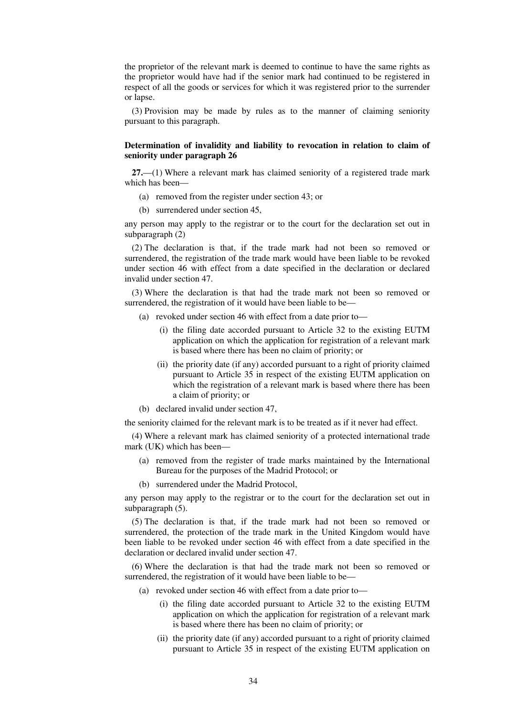the proprietor of the relevant mark is deemed to continue to have the same rights as the proprietor would have had if the senior mark had continued to be registered in respect of all the goods or services for which it was registered prior to the surrender or lapse.

(3) Provision may be made by rules as to the manner of claiming seniority pursuant to this paragraph.

## **Determination of invalidity and liability to revocation in relation to claim of seniority under paragraph 26**

**27.**—(1) Where a relevant mark has claimed seniority of a registered trade mark which has been—

- (a) removed from the register under section 43; or
- (b) surrendered under section 45,

any person may apply to the registrar or to the court for the declaration set out in subparagraph (2)

(2) The declaration is that, if the trade mark had not been so removed or surrendered, the registration of the trade mark would have been liable to be revoked under section 46 with effect from a date specified in the declaration or declared invalid under section 47.

(3) Where the declaration is that had the trade mark not been so removed or surrendered, the registration of it would have been liable to be—

- (a) revoked under section 46 with effect from a date prior to—
	- (i) the filing date accorded pursuant to Article 32 to the existing EUTM application on which the application for registration of a relevant mark is based where there has been no claim of priority; or
	- (ii) the priority date (if any) accorded pursuant to a right of priority claimed pursuant to Article 35 in respect of the existing EUTM application on which the registration of a relevant mark is based where there has been a claim of priority; or
- (b) declared invalid under section 47,

the seniority claimed for the relevant mark is to be treated as if it never had effect.

(4) Where a relevant mark has claimed seniority of a protected international trade mark (UK) which has been—

- (a) removed from the register of trade marks maintained by the International Bureau for the purposes of the Madrid Protocol; or
- (b) surrendered under the Madrid Protocol,

any person may apply to the registrar or to the court for the declaration set out in subparagraph  $(5)$ .

(5) The declaration is that, if the trade mark had not been so removed or surrendered, the protection of the trade mark in the United Kingdom would have been liable to be revoked under section 46 with effect from a date specified in the declaration or declared invalid under section 47.

(6) Where the declaration is that had the trade mark not been so removed or surrendered, the registration of it would have been liable to be—

- (a) revoked under section 46 with effect from a date prior to—
	- (i) the filing date accorded pursuant to Article 32 to the existing EUTM application on which the application for registration of a relevant mark is based where there has been no claim of priority; or
	- (ii) the priority date (if any) accorded pursuant to a right of priority claimed pursuant to Article 35 in respect of the existing EUTM application on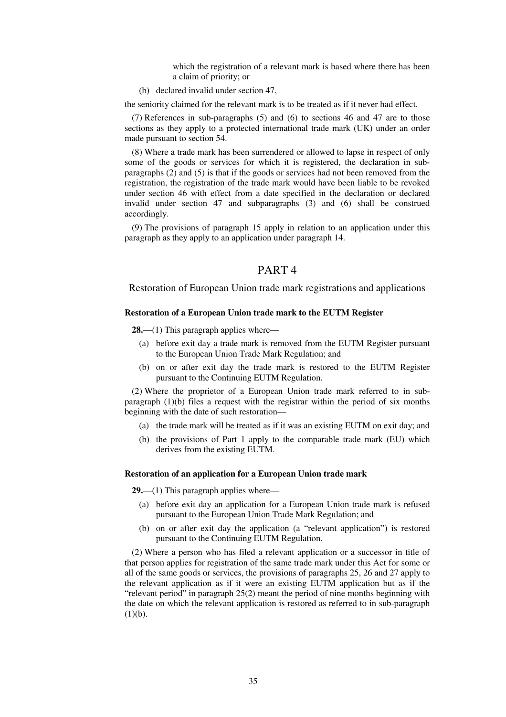which the registration of a relevant mark is based where there has been a claim of priority; or

(b) declared invalid under section 47,

the seniority claimed for the relevant mark is to be treated as if it never had effect.

(7) References in sub-paragraphs (5) and (6) to sections 46 and 47 are to those sections as they apply to a protected international trade mark (UK) under an order made pursuant to section 54.

(8) Where a trade mark has been surrendered or allowed to lapse in respect of only some of the goods or services for which it is registered, the declaration in subparagraphs (2) and (5) is that if the goods or services had not been removed from the registration, the registration of the trade mark would have been liable to be revoked under section 46 with effect from a date specified in the declaration or declared invalid under section 47 and subparagraphs (3) and (6) shall be construed accordingly.

(9) The provisions of paragraph 15 apply in relation to an application under this paragraph as they apply to an application under paragraph 14.

## PART 4

Restoration of European Union trade mark registrations and applications

## **Restoration of a European Union trade mark to the EUTM Register**

**28.**—(1) This paragraph applies where—

- (a) before exit day a trade mark is removed from the EUTM Register pursuant to the European Union Trade Mark Regulation; and
- (b) on or after exit day the trade mark is restored to the EUTM Register pursuant to the Continuing EUTM Regulation.

(2) Where the proprietor of a European Union trade mark referred to in subparagraph (1)(b) files a request with the registrar within the period of six months beginning with the date of such restoration—

- (a) the trade mark will be treated as if it was an existing EUTM on exit day; and
- (b) the provisions of Part 1 apply to the comparable trade mark (EU) which derives from the existing EUTM.

### **Restoration of an application for a European Union trade mark**

**29.**—(1) This paragraph applies where—

- (a) before exit day an application for a European Union trade mark is refused pursuant to the European Union Trade Mark Regulation; and
- (b) on or after exit day the application (a "relevant application") is restored pursuant to the Continuing EUTM Regulation.

(2) Where a person who has filed a relevant application or a successor in title of that person applies for registration of the same trade mark under this Act for some or all of the same goods or services, the provisions of paragraphs 25, 26 and 27 apply to the relevant application as if it were an existing EUTM application but as if the "relevant period" in paragraph 25(2) meant the period of nine months beginning with the date on which the relevant application is restored as referred to in sub-paragraph  $(1)(b)$ .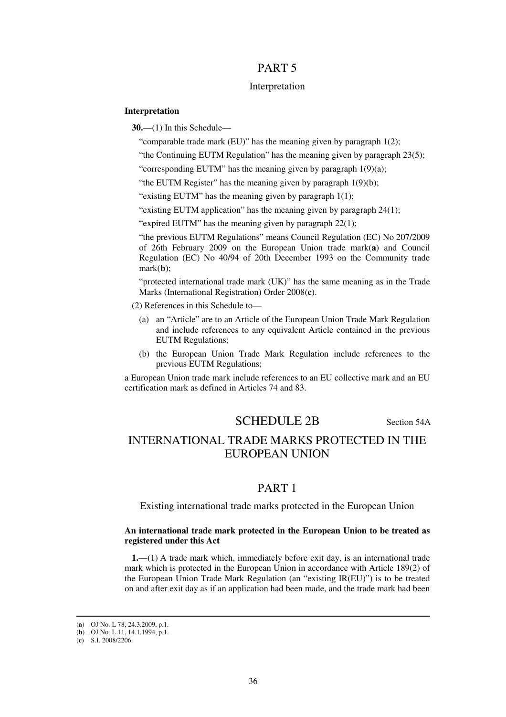## PART 5

## Interpretation

## **Interpretation**

**30.**—(1) In this Schedule—

"comparable trade mark (EU)" has the meaning given by paragraph 1(2);

"the Continuing EUTM Regulation" has the meaning given by paragraph 23(5);

"corresponding EUTM" has the meaning given by paragraph 1(9)(a);

"the EUTM Register" has the meaning given by paragraph  $1(9)(b)$ ;

"existing EUTM" has the meaning given by paragraph 1(1);

"existing EUTM application" has the meaning given by paragraph 24(1);

"expired EUTM" has the meaning given by paragraph 22(1);

"the previous EUTM Regulations" means Council Regulation (EC) No 207/2009 of 26th February 2009 on the European Union trade mark(**a**) and Council Regulation (EC) No 40/94 of 20th December 1993 on the Community trade mark(**b**);

"protected international trade mark (UK)" has the same meaning as in the Trade Marks (International Registration) Order 2008(**c**).

(2) References in this Schedule to—

- (a) an "Article" are to an Article of the European Union Trade Mark Regulation and include references to any equivalent Article contained in the previous EUTM Regulations;
- (b) the European Union Trade Mark Regulation include references to the previous EUTM Regulations;

a European Union trade mark include references to an EU collective mark and an EU certification mark as defined in Articles 74 and 83.

SCHEDULE 2B Section 54A

## INTERNATIONAL TRADE MARKS PROTECTED IN THE EUROPEAN UNION

## PART 1

Existing international trade marks protected in the European Union

## **An international trade mark protected in the European Union to be treated as registered under this Act**

**1.**—(1) A trade mark which, immediately before exit day, is an international trade mark which is protected in the European Union in accordance with Article 189(2) of the European Union Trade Mark Regulation (an "existing IR(EU)") is to be treated on and after exit day as if an application had been made, and the trade mark had been

-

<sup>(</sup>**a**) OJ No. L 78, 24.3.2009, p.1.

<sup>(</sup>**b**) OJ No. L 11, 14.1.1994, p.1.

<sup>(</sup>**c**) S.I. 2008/2206.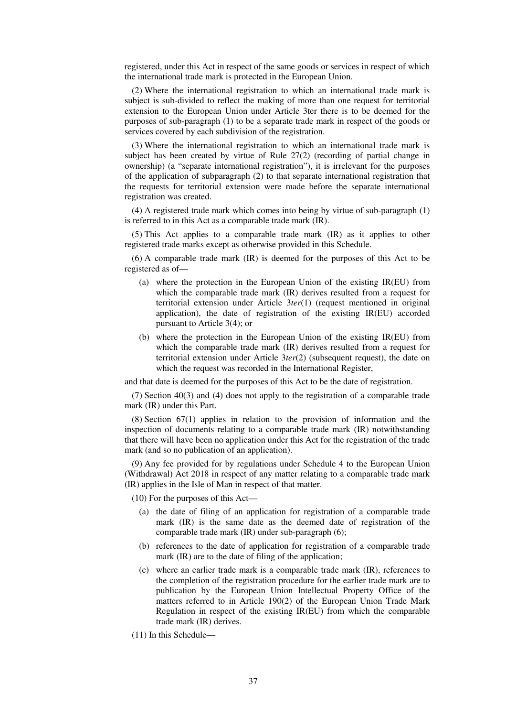registered, under this Act in respect of the same goods or services in respect of which the international trade mark is protected in the European Union.

(2) Where the international registration to which an international trade mark is subject is sub-divided to reflect the making of more than one request for territorial extension to the European Union under Article 3ter there is to be deemed for the purposes of sub-paragraph (1) to be a separate trade mark in respect of the goods or services covered by each subdivision of the registration.

(3) Where the international registration to which an international trade mark is subject has been created by virtue of Rule 27(2) (recording of partial change in ownership) (a "separate international registration"), it is irrelevant for the purposes of the application of subparagraph (2) to that separate international registration that the requests for territorial extension were made before the separate international registration was created.

(4) A registered trade mark which comes into being by virtue of sub-paragraph (1) is referred to in this Act as a comparable trade mark (IR).

(5) This Act applies to a comparable trade mark (IR) as it applies to other registered trade marks except as otherwise provided in this Schedule.

(6) A comparable trade mark (IR) is deemed for the purposes of this Act to be registered as of—

- (a) where the protection in the European Union of the existing IR(EU) from which the comparable trade mark (IR) derives resulted from a request for territorial extension under Article 3*ter*(1) (request mentioned in original application), the date of registration of the existing IR(EU) accorded pursuant to Article 3(4); or
- (b) where the protection in the European Union of the existing IR(EU) from which the comparable trade mark (IR) derives resulted from a request for territorial extension under Article 3*ter*(2) (subsequent request), the date on which the request was recorded in the International Register,

and that date is deemed for the purposes of this Act to be the date of registration.

(7) Section 40(3) and (4) does not apply to the registration of a comparable trade mark (IR) under this Part.

(8) Section 67(1) applies in relation to the provision of information and the inspection of documents relating to a comparable trade mark (IR) notwithstanding that there will have been no application under this Act for the registration of the trade mark (and so no publication of an application).

(9) Any fee provided for by regulations under Schedule 4 to the European Union (Withdrawal) Act 2018 in respect of any matter relating to a comparable trade mark (IR) applies in the Isle of Man in respect of that matter.

(10) For the purposes of this Act—

- (a) the date of filing of an application for registration of a comparable trade mark (IR) is the same date as the deemed date of registration of the comparable trade mark (IR) under sub-paragraph (6);
- (b) references to the date of application for registration of a comparable trade mark (IR) are to the date of filing of the application;
- (c) where an earlier trade mark is a comparable trade mark (IR), references to the completion of the registration procedure for the earlier trade mark are to publication by the European Union Intellectual Property Office of the matters referred to in Article 190(2) of the European Union Trade Mark Regulation in respect of the existing IR(EU) from which the comparable trade mark (IR) derives.

(11) In this Schedule—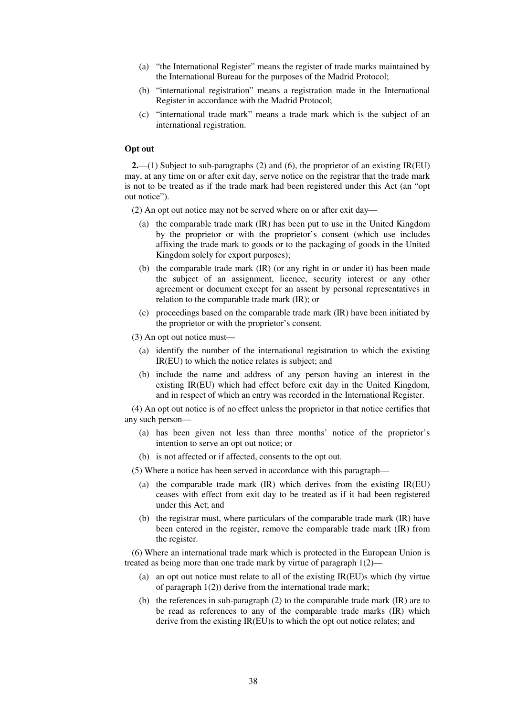- (a) "the International Register" means the register of trade marks maintained by the International Bureau for the purposes of the Madrid Protocol;
- (b) "international registration" means a registration made in the International Register in accordance with the Madrid Protocol;
- (c) "international trade mark" means a trade mark which is the subject of an international registration.

### **Opt out**

**2.**—(1) Subject to sub-paragraphs (2) and (6), the proprietor of an existing IR(EU) may, at any time on or after exit day, serve notice on the registrar that the trade mark is not to be treated as if the trade mark had been registered under this Act (an "opt out notice").

(2) An opt out notice may not be served where on or after exit day—

- (a) the comparable trade mark (IR) has been put to use in the United Kingdom by the proprietor or with the proprietor's consent (which use includes affixing the trade mark to goods or to the packaging of goods in the United Kingdom solely for export purposes);
- (b) the comparable trade mark (IR) (or any right in or under it) has been made the subject of an assignment, licence, security interest or any other agreement or document except for an assent by personal representatives in relation to the comparable trade mark (IR); or
- (c) proceedings based on the comparable trade mark (IR) have been initiated by the proprietor or with the proprietor's consent.

(3) An opt out notice must—

- (a) identify the number of the international registration to which the existing IR(EU) to which the notice relates is subject; and
- (b) include the name and address of any person having an interest in the existing IR(EU) which had effect before exit day in the United Kingdom, and in respect of which an entry was recorded in the International Register.

(4) An opt out notice is of no effect unless the proprietor in that notice certifies that any such person—

- (a) has been given not less than three months' notice of the proprietor's intention to serve an opt out notice; or
- (b) is not affected or if affected, consents to the opt out.

(5) Where a notice has been served in accordance with this paragraph—

- (a) the comparable trade mark (IR) which derives from the existing IR(EU) ceases with effect from exit day to be treated as if it had been registered under this Act; and
- (b) the registrar must, where particulars of the comparable trade mark (IR) have been entered in the register, remove the comparable trade mark (IR) from the register.

(6) Where an international trade mark which is protected in the European Union is treated as being more than one trade mark by virtue of paragraph 1(2)—

- (a) an opt out notice must relate to all of the existing IR(EU)s which (by virtue of paragraph 1(2)) derive from the international trade mark;
- (b) the references in sub-paragraph (2) to the comparable trade mark (IR) are to be read as references to any of the comparable trade marks (IR) which derive from the existing IR(EU)s to which the opt out notice relates; and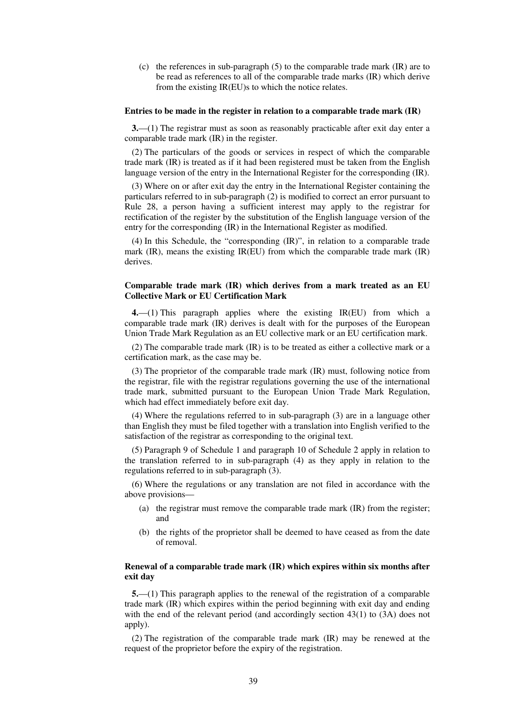(c) the references in sub-paragraph  $(5)$  to the comparable trade mark  $(IR)$  are to be read as references to all of the comparable trade marks (IR) which derive from the existing IR(EU)s to which the notice relates.

#### **Entries to be made in the register in relation to a comparable trade mark (IR)**

**3.**—(1) The registrar must as soon as reasonably practicable after exit day enter a comparable trade mark (IR) in the register.

(2) The particulars of the goods or services in respect of which the comparable trade mark (IR) is treated as if it had been registered must be taken from the English language version of the entry in the International Register for the corresponding (IR).

(3) Where on or after exit day the entry in the International Register containing the particulars referred to in sub-paragraph (2) is modified to correct an error pursuant to Rule 28, a person having a sufficient interest may apply to the registrar for rectification of the register by the substitution of the English language version of the entry for the corresponding (IR) in the International Register as modified.

(4) In this Schedule, the "corresponding (IR)", in relation to a comparable trade mark  $(IR)$ , means the existing IR(EU) from which the comparable trade mark  $(IR)$ derives.

### **Comparable trade mark (IR) which derives from a mark treated as an EU Collective Mark or EU Certification Mark**

**4.**—(1) This paragraph applies where the existing IR(EU) from which a comparable trade mark (IR) derives is dealt with for the purposes of the European Union Trade Mark Regulation as an EU collective mark or an EU certification mark.

(2) The comparable trade mark (IR) is to be treated as either a collective mark or a certification mark, as the case may be.

(3) The proprietor of the comparable trade mark (IR) must, following notice from the registrar, file with the registrar regulations governing the use of the international trade mark, submitted pursuant to the European Union Trade Mark Regulation, which had effect immediately before exit day.

(4) Where the regulations referred to in sub-paragraph (3) are in a language other than English they must be filed together with a translation into English verified to the satisfaction of the registrar as corresponding to the original text.

(5) Paragraph 9 of Schedule 1 and paragraph 10 of Schedule 2 apply in relation to the translation referred to in sub-paragraph (4) as they apply in relation to the regulations referred to in sub-paragraph (3).

(6) Where the regulations or any translation are not filed in accordance with the above provisions—

- (a) the registrar must remove the comparable trade mark (IR) from the register; and
- (b) the rights of the proprietor shall be deemed to have ceased as from the date of removal.

## **Renewal of a comparable trade mark (IR) which expires within six months after exit day**

**5.**—(1) This paragraph applies to the renewal of the registration of a comparable trade mark (IR) which expires within the period beginning with exit day and ending with the end of the relevant period (and accordingly section 43(1) to (3A) does not apply).

(2) The registration of the comparable trade mark (IR) may be renewed at the request of the proprietor before the expiry of the registration.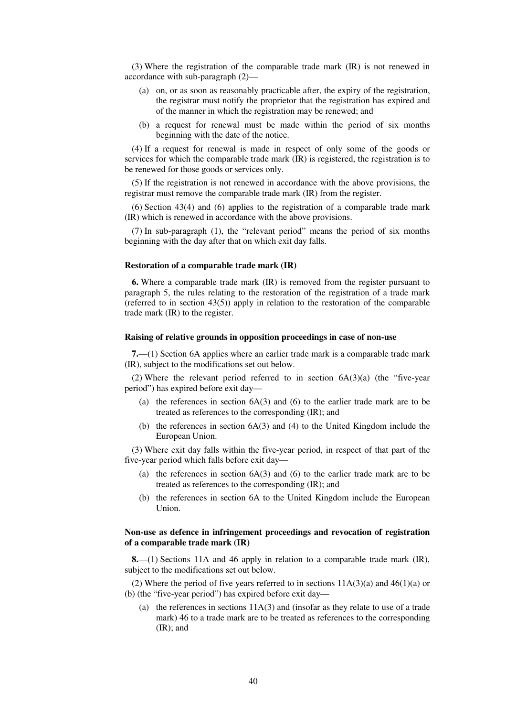(3) Where the registration of the comparable trade mark (IR) is not renewed in accordance with sub-paragraph (2)—

- (a) on, or as soon as reasonably practicable after, the expiry of the registration, the registrar must notify the proprietor that the registration has expired and of the manner in which the registration may be renewed; and
- (b) a request for renewal must be made within the period of six months beginning with the date of the notice.

(4) If a request for renewal is made in respect of only some of the goods or services for which the comparable trade mark (IR) is registered, the registration is to be renewed for those goods or services only.

(5) If the registration is not renewed in accordance with the above provisions, the registrar must remove the comparable trade mark (IR) from the register.

(6) Section 43(4) and (6) applies to the registration of a comparable trade mark (IR) which is renewed in accordance with the above provisions.

(7) In sub-paragraph (1), the "relevant period" means the period of six months beginning with the day after that on which exit day falls.

#### **Restoration of a comparable trade mark (IR)**

**6.** Where a comparable trade mark (IR) is removed from the register pursuant to paragraph 5, the rules relating to the restoration of the registration of a trade mark (referred to in section 43(5)) apply in relation to the restoration of the comparable trade mark (IR) to the register.

### **Raising of relative grounds in opposition proceedings in case of non-use**

**7.**—(1) Section 6A applies where an earlier trade mark is a comparable trade mark (IR), subject to the modifications set out below.

(2) Where the relevant period referred to in section  $6A(3)(a)$  (the "five-year period") has expired before exit day—

- (a) the references in section 6A(3) and (6) to the earlier trade mark are to be treated as references to the corresponding (IR); and
- (b) the references in section 6A(3) and (4) to the United Kingdom include the European Union.

(3) Where exit day falls within the five-year period, in respect of that part of the five-year period which falls before exit day—

- (a) the references in section 6A(3) and (6) to the earlier trade mark are to be treated as references to the corresponding (IR); and
- (b) the references in section 6A to the United Kingdom include the European Union.

### **Non-use as defence in infringement proceedings and revocation of registration of a comparable trade mark (IR)**

**8.**—(1) Sections 11A and 46 apply in relation to a comparable trade mark (IR), subject to the modifications set out below.

(2) Where the period of five years referred to in sections  $11A(3)(a)$  and  $46(1)(a)$  or (b) (the "five-year period") has expired before exit day—

(a) the references in sections 11A(3) and (insofar as they relate to use of a trade mark) 46 to a trade mark are to be treated as references to the corresponding (IR); and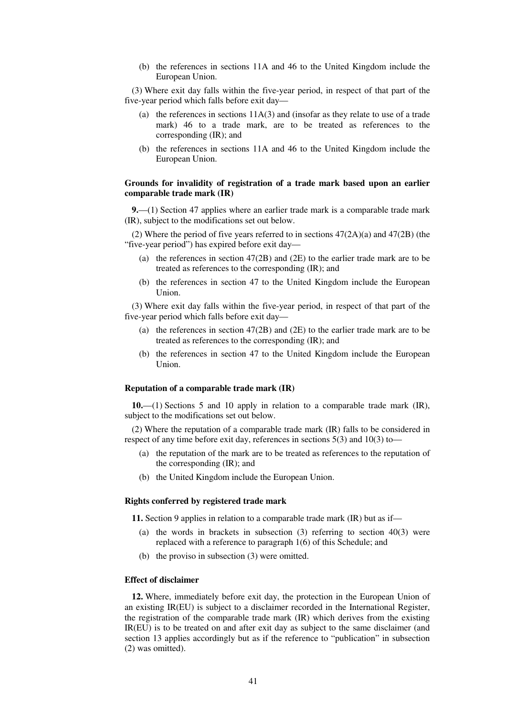(b) the references in sections 11A and 46 to the United Kingdom include the European Union.

(3) Where exit day falls within the five-year period, in respect of that part of the five-year period which falls before exit day—

- (a) the references in sections  $11A(3)$  and (insofar as they relate to use of a trade mark) 46 to a trade mark, are to be treated as references to the corresponding (IR); and
- (b) the references in sections 11A and 46 to the United Kingdom include the European Union.

## **Grounds for invalidity of registration of a trade mark based upon an earlier comparable trade mark (IR)**

**9.**—(1) Section 47 applies where an earlier trade mark is a comparable trade mark (IR), subject to the modifications set out below.

(2) Where the period of five years referred to in sections 47(2A)(a) and 47(2B) (the "five-year period") has expired before exit day—

- (a) the references in section 47(2B) and (2E) to the earlier trade mark are to be treated as references to the corresponding (IR); and
- (b) the references in section 47 to the United Kingdom include the European Union.

(3) Where exit day falls within the five-year period, in respect of that part of the five-year period which falls before exit day—

- (a) the references in section 47(2B) and (2E) to the earlier trade mark are to be treated as references to the corresponding (IR); and
- (b) the references in section 47 to the United Kingdom include the European Union.

#### **Reputation of a comparable trade mark (IR)**

**10.**—(1) Sections 5 and 10 apply in relation to a comparable trade mark (IR), subject to the modifications set out below.

(2) Where the reputation of a comparable trade mark (IR) falls to be considered in respect of any time before exit day, references in sections 5(3) and 10(3) to—

- (a) the reputation of the mark are to be treated as references to the reputation of the corresponding (IR); and
- (b) the United Kingdom include the European Union.

### **Rights conferred by registered trade mark**

**11.** Section 9 applies in relation to a comparable trade mark (IR) but as if—

- (a) the words in brackets in subsection  $(3)$  referring to section  $40(3)$  were replaced with a reference to paragraph 1(6) of this Schedule; and
- (b) the proviso in subsection (3) were omitted.

### **Effect of disclaimer**

**12.** Where, immediately before exit day, the protection in the European Union of an existing IR(EU) is subject to a disclaimer recorded in the International Register, the registration of the comparable trade mark (IR) which derives from the existing IR(EU) is to be treated on and after exit day as subject to the same disclaimer (and section 13 applies accordingly but as if the reference to "publication" in subsection (2) was omitted).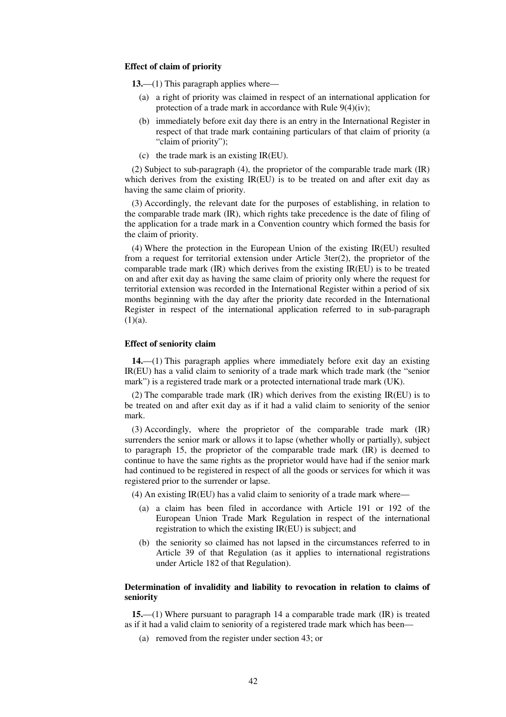#### **Effect of claim of priority**

**13.**—(1) This paragraph applies where—

- (a) a right of priority was claimed in respect of an international application for protection of a trade mark in accordance with Rule 9(4)(iv);
- (b) immediately before exit day there is an entry in the International Register in respect of that trade mark containing particulars of that claim of priority (a "claim of priority");
- (c) the trade mark is an existing IR(EU).

(2) Subject to sub-paragraph (4), the proprietor of the comparable trade mark (IR) which derives from the existing IR(EU) is to be treated on and after exit day as having the same claim of priority.

(3) Accordingly, the relevant date for the purposes of establishing, in relation to the comparable trade mark (IR), which rights take precedence is the date of filing of the application for a trade mark in a Convention country which formed the basis for the claim of priority.

(4) Where the protection in the European Union of the existing IR(EU) resulted from a request for territorial extension under Article 3ter(2), the proprietor of the comparable trade mark (IR) which derives from the existing IR(EU) is to be treated on and after exit day as having the same claim of priority only where the request for territorial extension was recorded in the International Register within a period of six months beginning with the day after the priority date recorded in the International Register in respect of the international application referred to in sub-paragraph  $(1)(a)$ .

## **Effect of seniority claim**

**14.**—(1) This paragraph applies where immediately before exit day an existing IR(EU) has a valid claim to seniority of a trade mark which trade mark (the "senior mark") is a registered trade mark or a protected international trade mark (UK).

(2) The comparable trade mark (IR) which derives from the existing IR(EU) is to be treated on and after exit day as if it had a valid claim to seniority of the senior mark.

(3) Accordingly, where the proprietor of the comparable trade mark (IR) surrenders the senior mark or allows it to lapse (whether wholly or partially), subject to paragraph 15, the proprietor of the comparable trade mark (IR) is deemed to continue to have the same rights as the proprietor would have had if the senior mark had continued to be registered in respect of all the goods or services for which it was registered prior to the surrender or lapse.

(4) An existing IR(EU) has a valid claim to seniority of a trade mark where—

- (a) a claim has been filed in accordance with Article 191 or 192 of the European Union Trade Mark Regulation in respect of the international registration to which the existing IR(EU) is subject; and
- (b) the seniority so claimed has not lapsed in the circumstances referred to in Article 39 of that Regulation (as it applies to international registrations under Article 182 of that Regulation).

## **Determination of invalidity and liability to revocation in relation to claims of seniority**

**15.**—(1) Where pursuant to paragraph 14 a comparable trade mark (IR) is treated as if it had a valid claim to seniority of a registered trade mark which has been—

(a) removed from the register under section 43; or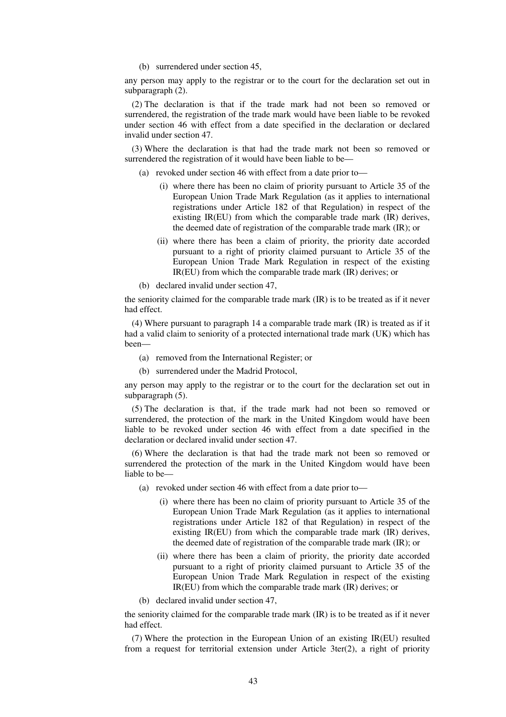(b) surrendered under section 45,

any person may apply to the registrar or to the court for the declaration set out in subparagraph (2).

(2) The declaration is that if the trade mark had not been so removed or surrendered, the registration of the trade mark would have been liable to be revoked under section 46 with effect from a date specified in the declaration or declared invalid under section 47.

(3) Where the declaration is that had the trade mark not been so removed or surrendered the registration of it would have been liable to be—

- (a) revoked under section 46 with effect from a date prior to—
	- (i) where there has been no claim of priority pursuant to Article 35 of the European Union Trade Mark Regulation (as it applies to international registrations under Article 182 of that Regulation) in respect of the existing IR(EU) from which the comparable trade mark (IR) derives, the deemed date of registration of the comparable trade mark (IR); or
	- (ii) where there has been a claim of priority, the priority date accorded pursuant to a right of priority claimed pursuant to Article 35 of the European Union Trade Mark Regulation in respect of the existing IR(EU) from which the comparable trade mark (IR) derives; or
- (b) declared invalid under section 47,

the seniority claimed for the comparable trade mark (IR) is to be treated as if it never had effect.

(4) Where pursuant to paragraph 14 a comparable trade mark (IR) is treated as if it had a valid claim to seniority of a protected international trade mark (UK) which has been—

- (a) removed from the International Register; or
- (b) surrendered under the Madrid Protocol,

any person may apply to the registrar or to the court for the declaration set out in subparagraph (5).

(5) The declaration is that, if the trade mark had not been so removed or surrendered, the protection of the mark in the United Kingdom would have been liable to be revoked under section 46 with effect from a date specified in the declaration or declared invalid under section 47.

(6) Where the declaration is that had the trade mark not been so removed or surrendered the protection of the mark in the United Kingdom would have been liable to be—

- (a) revoked under section 46 with effect from a date prior to—
	- (i) where there has been no claim of priority pursuant to Article 35 of the European Union Trade Mark Regulation (as it applies to international registrations under Article 182 of that Regulation) in respect of the existing IR(EU) from which the comparable trade mark (IR) derives, the deemed date of registration of the comparable trade mark (IR); or
	- (ii) where there has been a claim of priority, the priority date accorded pursuant to a right of priority claimed pursuant to Article 35 of the European Union Trade Mark Regulation in respect of the existing IR(EU) from which the comparable trade mark (IR) derives; or
- (b) declared invalid under section 47,

the seniority claimed for the comparable trade mark (IR) is to be treated as if it never had effect.

(7) Where the protection in the European Union of an existing IR(EU) resulted from a request for territorial extension under Article 3ter(2), a right of priority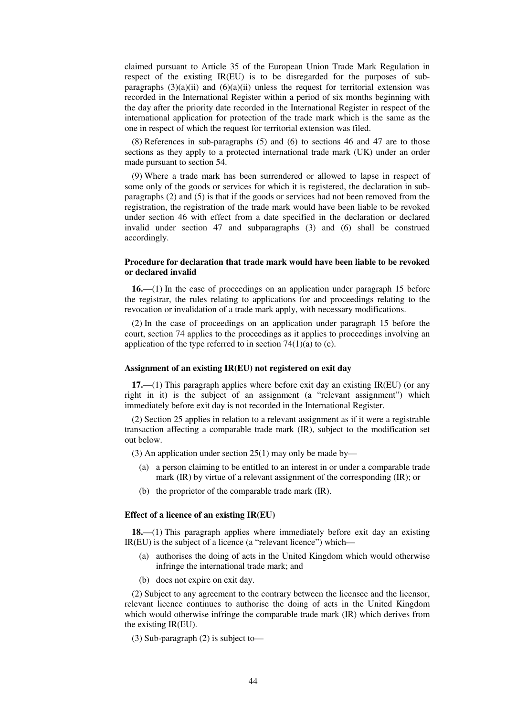claimed pursuant to Article 35 of the European Union Trade Mark Regulation in respect of the existing IR(EU) is to be disregarded for the purposes of subparagraphs  $(3)(a)(ii)$  and  $(6)(a)(ii)$  unless the request for territorial extension was recorded in the International Register within a period of six months beginning with the day after the priority date recorded in the International Register in respect of the international application for protection of the trade mark which is the same as the one in respect of which the request for territorial extension was filed.

(8) References in sub-paragraphs (5) and (6) to sections 46 and 47 are to those sections as they apply to a protected international trade mark (UK) under an order made pursuant to section 54.

(9) Where a trade mark has been surrendered or allowed to lapse in respect of some only of the goods or services for which it is registered, the declaration in subparagraphs (2) and (5) is that if the goods or services had not been removed from the registration, the registration of the trade mark would have been liable to be revoked under section 46 with effect from a date specified in the declaration or declared invalid under section 47 and subparagraphs (3) and (6) shall be construed accordingly.

## **Procedure for declaration that trade mark would have been liable to be revoked or declared invalid**

**16.**—(1) In the case of proceedings on an application under paragraph 15 before the registrar, the rules relating to applications for and proceedings relating to the revocation or invalidation of a trade mark apply, with necessary modifications.

(2) In the case of proceedings on an application under paragraph 15 before the court, section 74 applies to the proceedings as it applies to proceedings involving an application of the type referred to in section  $74(1)(a)$  to (c).

### **Assignment of an existing IR(EU) not registered on exit day**

**17.**—(1) This paragraph applies where before exit day an existing IR(EU) (or any right in it) is the subject of an assignment (a "relevant assignment") which immediately before exit day is not recorded in the International Register.

(2) Section 25 applies in relation to a relevant assignment as if it were a registrable transaction affecting a comparable trade mark (IR), subject to the modification set out below.

(3) An application under section  $25(1)$  may only be made by—

- (a) a person claiming to be entitled to an interest in or under a comparable trade mark (IR) by virtue of a relevant assignment of the corresponding (IR); or
- (b) the proprietor of the comparable trade mark (IR).

### **Effect of a licence of an existing IR(EU)**

**18.**—(1) This paragraph applies where immediately before exit day an existing IR(EU) is the subject of a licence (a "relevant licence") which—

- (a) authorises the doing of acts in the United Kingdom which would otherwise infringe the international trade mark; and
- (b) does not expire on exit day.

(2) Subject to any agreement to the contrary between the licensee and the licensor, relevant licence continues to authorise the doing of acts in the United Kingdom which would otherwise infringe the comparable trade mark (IR) which derives from the existing IR(EU).

(3) Sub-paragraph (2) is subject to—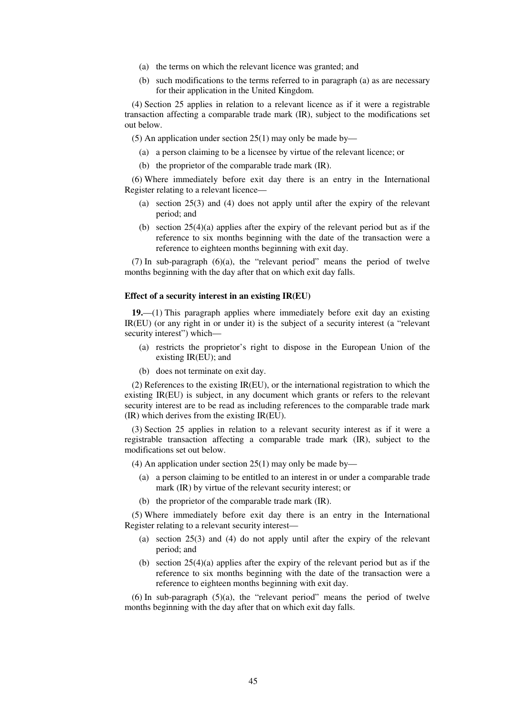- (a) the terms on which the relevant licence was granted; and
- (b) such modifications to the terms referred to in paragraph (a) as are necessary for their application in the United Kingdom.

(4) Section 25 applies in relation to a relevant licence as if it were a registrable transaction affecting a comparable trade mark (IR), subject to the modifications set out below.

(5) An application under section  $25(1)$  may only be made by—

- (a) a person claiming to be a licensee by virtue of the relevant licence; or
- (b) the proprietor of the comparable trade mark (IR).

(6) Where immediately before exit day there is an entry in the International Register relating to a relevant licence—

- (a) section 25(3) and (4) does not apply until after the expiry of the relevant period; and
- (b) section 25(4)(a) applies after the expiry of the relevant period but as if the reference to six months beginning with the date of the transaction were a reference to eighteen months beginning with exit day.

(7) In sub-paragraph  $(6)(a)$ , the "relevant period" means the period of twelve months beginning with the day after that on which exit day falls.

#### **Effect of a security interest in an existing IR(EU)**

**19.**—(1) This paragraph applies where immediately before exit day an existing IR(EU) (or any right in or under it) is the subject of a security interest (a "relevant security interest") which—

- (a) restricts the proprietor's right to dispose in the European Union of the existing IR(EU); and
- (b) does not terminate on exit day.

(2) References to the existing IR(EU), or the international registration to which the existing IR(EU) is subject, in any document which grants or refers to the relevant security interest are to be read as including references to the comparable trade mark (IR) which derives from the existing IR(EU).

(3) Section 25 applies in relation to a relevant security interest as if it were a registrable transaction affecting a comparable trade mark (IR), subject to the modifications set out below.

(4) An application under section  $25(1)$  may only be made by—

- (a) a person claiming to be entitled to an interest in or under a comparable trade mark (IR) by virtue of the relevant security interest; or
- (b) the proprietor of the comparable trade mark (IR).

(5) Where immediately before exit day there is an entry in the International Register relating to a relevant security interest—

- (a) section 25(3) and (4) do not apply until after the expiry of the relevant period; and
- (b) section 25(4)(a) applies after the expiry of the relevant period but as if the reference to six months beginning with the date of the transaction were a reference to eighteen months beginning with exit day.

 $(6)$  In sub-paragraph  $(5)(a)$ , the "relevant period" means the period of twelve months beginning with the day after that on which exit day falls.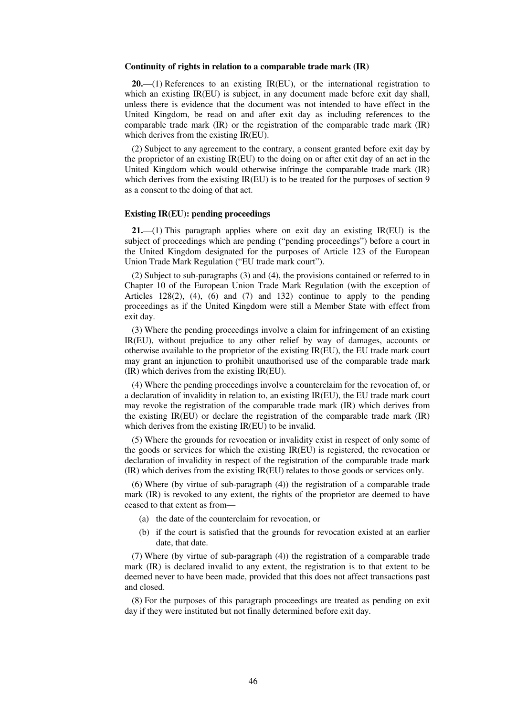#### **Continuity of rights in relation to a comparable trade mark (IR)**

**20.**—(1) References to an existing IR(EU), or the international registration to which an existing IR(EU) is subject, in any document made before exit day shall, unless there is evidence that the document was not intended to have effect in the United Kingdom, be read on and after exit day as including references to the comparable trade mark (IR) or the registration of the comparable trade mark (IR) which derives from the existing IR(EU).

(2) Subject to any agreement to the contrary, a consent granted before exit day by the proprietor of an existing IR(EU) to the doing on or after exit day of an act in the United Kingdom which would otherwise infringe the comparable trade mark (IR) which derives from the existing IR(EU) is to be treated for the purposes of section 9 as a consent to the doing of that act.

### **Existing IR(EU): pending proceedings**

**21.**—(1) This paragraph applies where on exit day an existing IR(EU) is the subject of proceedings which are pending ("pending proceedings") before a court in the United Kingdom designated for the purposes of Article 123 of the European Union Trade Mark Regulation ("EU trade mark court").

(2) Subject to sub-paragraphs (3) and (4), the provisions contained or referred to in Chapter 10 of the European Union Trade Mark Regulation (with the exception of Articles  $128(2)$ ,  $(4)$ ,  $(6)$  and  $(7)$  and  $132$ ) continue to apply to the pending proceedings as if the United Kingdom were still a Member State with effect from exit day.

(3) Where the pending proceedings involve a claim for infringement of an existing IR(EU), without prejudice to any other relief by way of damages, accounts or otherwise available to the proprietor of the existing IR(EU), the EU trade mark court may grant an injunction to prohibit unauthorised use of the comparable trade mark (IR) which derives from the existing IR(EU).

(4) Where the pending proceedings involve a counterclaim for the revocation of, or a declaration of invalidity in relation to, an existing IR(EU), the EU trade mark court may revoke the registration of the comparable trade mark (IR) which derives from the existing  $IR(EU)$  or declare the registration of the comparable trade mark  $IR$ ) which derives from the existing IR(EU) to be invalid.

(5) Where the grounds for revocation or invalidity exist in respect of only some of the goods or services for which the existing IR(EU) is registered, the revocation or declaration of invalidity in respect of the registration of the comparable trade mark (IR) which derives from the existing IR(EU) relates to those goods or services only.

(6) Where (by virtue of sub-paragraph (4)) the registration of a comparable trade mark (IR) is revoked to any extent, the rights of the proprietor are deemed to have ceased to that extent as from—

- (a) the date of the counterclaim for revocation, or
- (b) if the court is satisfied that the grounds for revocation existed at an earlier date, that date.

(7) Where (by virtue of sub-paragraph (4)) the registration of a comparable trade mark (IR) is declared invalid to any extent, the registration is to that extent to be deemed never to have been made, provided that this does not affect transactions past and closed.

(8) For the purposes of this paragraph proceedings are treated as pending on exit day if they were instituted but not finally determined before exit day.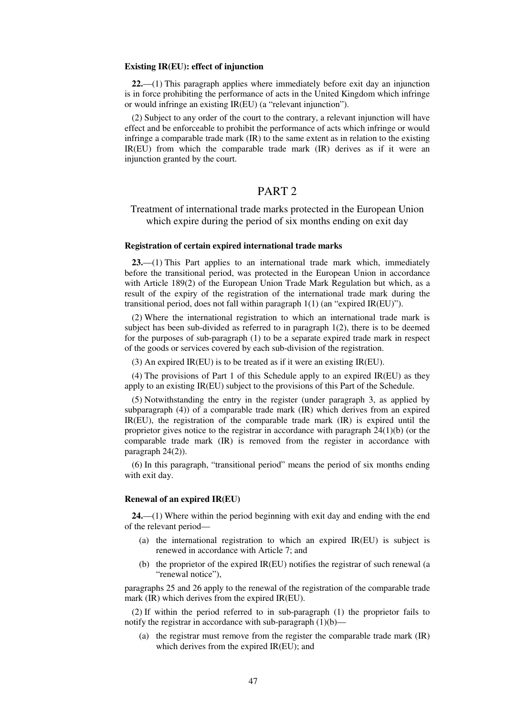#### **Existing IR(EU): effect of injunction**

**22.**—(1) This paragraph applies where immediately before exit day an injunction is in force prohibiting the performance of acts in the United Kingdom which infringe or would infringe an existing IR(EU) (a "relevant injunction").

(2) Subject to any order of the court to the contrary, a relevant injunction will have effect and be enforceable to prohibit the performance of acts which infringe or would infringe a comparable trade mark (IR) to the same extent as in relation to the existing IR(EU) from which the comparable trade mark (IR) derives as if it were an injunction granted by the court.

## PART 2

## Treatment of international trade marks protected in the European Union which expire during the period of six months ending on exit day

### **Registration of certain expired international trade marks**

**23.**—(1) This Part applies to an international trade mark which, immediately before the transitional period, was protected in the European Union in accordance with Article 189(2) of the European Union Trade Mark Regulation but which, as a result of the expiry of the registration of the international trade mark during the transitional period, does not fall within paragraph 1(1) (an "expired IR(EU)").

(2) Where the international registration to which an international trade mark is subject has been sub-divided as referred to in paragraph 1(2), there is to be deemed for the purposes of sub-paragraph (1) to be a separate expired trade mark in respect of the goods or services covered by each sub-division of the registration.

(3) An expired IR(EU) is to be treated as if it were an existing IR(EU).

(4) The provisions of Part 1 of this Schedule apply to an expired IR(EU) as they apply to an existing IR(EU) subject to the provisions of this Part of the Schedule.

(5) Notwithstanding the entry in the register (under paragraph 3, as applied by subparagraph (4)) of a comparable trade mark (IR) which derives from an expired IR(EU), the registration of the comparable trade mark (IR) is expired until the proprietor gives notice to the registrar in accordance with paragraph 24(1)(b) (or the comparable trade mark (IR) is removed from the register in accordance with paragraph 24(2)).

(6) In this paragraph, "transitional period" means the period of six months ending with exit day.

### **Renewal of an expired IR(EU)**

**24.**—(1) Where within the period beginning with exit day and ending with the end of the relevant period—

- (a) the international registration to which an expired IR(EU) is subject is renewed in accordance with Article 7; and
- (b) the proprietor of the expired IR(EU) notifies the registrar of such renewal (a "renewal notice").

paragraphs 25 and 26 apply to the renewal of the registration of the comparable trade mark (IR) which derives from the expired IR(EU).

(2) If within the period referred to in sub-paragraph (1) the proprietor fails to notify the registrar in accordance with sub-paragraph  $(1)(b)$ —

(a) the registrar must remove from the register the comparable trade mark (IR) which derives from the expired IR(EU); and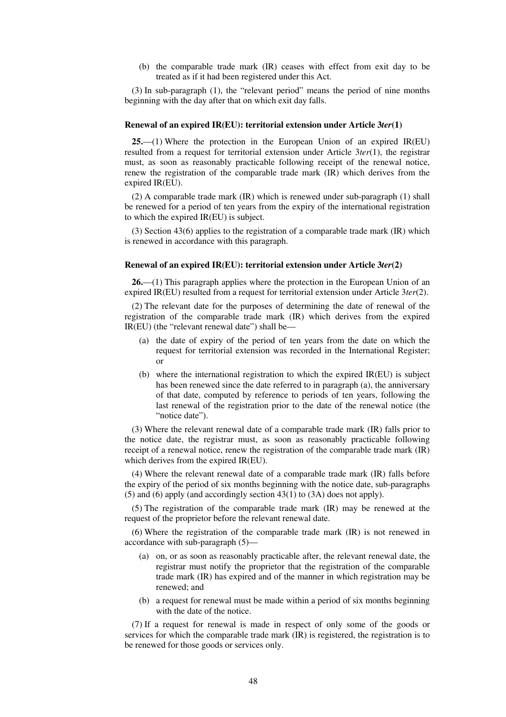(b) the comparable trade mark (IR) ceases with effect from exit day to be treated as if it had been registered under this Act.

(3) In sub-paragraph (1), the "relevant period" means the period of nine months beginning with the day after that on which exit day falls.

#### **Renewal of an expired IR(EU): territorial extension under Article 3***ter***(1)**

**25.**—(1) Where the protection in the European Union of an expired IR(EU) resulted from a request for territorial extension under Article 3*ter*(1), the registrar must, as soon as reasonably practicable following receipt of the renewal notice, renew the registration of the comparable trade mark (IR) which derives from the expired IR(EU).

(2) A comparable trade mark (IR) which is renewed under sub-paragraph (1) shall be renewed for a period of ten years from the expiry of the international registration to which the expired IR(EU) is subject.

(3) Section 43(6) applies to the registration of a comparable trade mark (IR) which is renewed in accordance with this paragraph.

#### **Renewal of an expired IR(EU): territorial extension under Article 3***ter***(2)**

**26.**—(1) This paragraph applies where the protection in the European Union of an expired IR(EU) resulted from a request for territorial extension under Article 3*ter*(2).

(2) The relevant date for the purposes of determining the date of renewal of the registration of the comparable trade mark (IR) which derives from the expired IR(EU) (the "relevant renewal date") shall be—

- (a) the date of expiry of the period of ten years from the date on which the request for territorial extension was recorded in the International Register; or
- (b) where the international registration to which the expired IR(EU) is subject has been renewed since the date referred to in paragraph (a), the anniversary of that date, computed by reference to periods of ten years, following the last renewal of the registration prior to the date of the renewal notice (the "notice date").

(3) Where the relevant renewal date of a comparable trade mark (IR) falls prior to the notice date, the registrar must, as soon as reasonably practicable following receipt of a renewal notice, renew the registration of the comparable trade mark (IR) which derives from the expired IR(EU).

(4) Where the relevant renewal date of a comparable trade mark (IR) falls before the expiry of the period of six months beginning with the notice date, sub-paragraphs (5) and (6) apply (and accordingly section 43(1) to (3A) does not apply).

(5) The registration of the comparable trade mark (IR) may be renewed at the request of the proprietor before the relevant renewal date.

(6) Where the registration of the comparable trade mark (IR) is not renewed in accordance with sub-paragraph (5)—

- (a) on, or as soon as reasonably practicable after, the relevant renewal date, the registrar must notify the proprietor that the registration of the comparable trade mark (IR) has expired and of the manner in which registration may be renewed; and
- (b) a request for renewal must be made within a period of six months beginning with the date of the notice.

(7) If a request for renewal is made in respect of only some of the goods or services for which the comparable trade mark (IR) is registered, the registration is to be renewed for those goods or services only.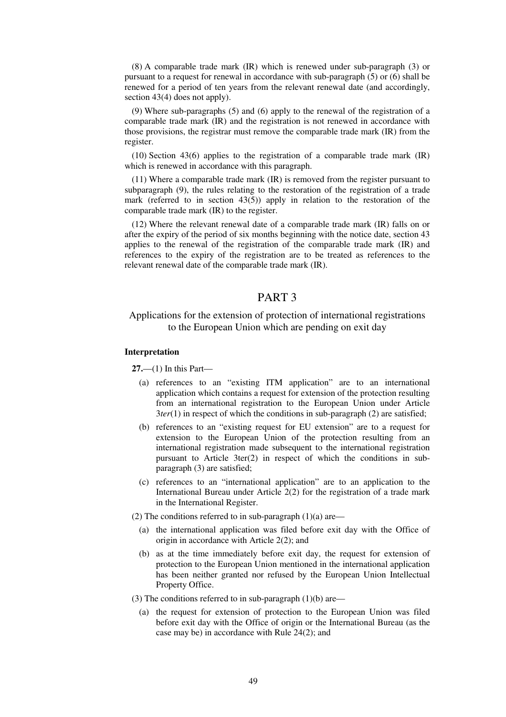(8) A comparable trade mark (IR) which is renewed under sub-paragraph (3) or pursuant to a request for renewal in accordance with sub-paragraph (5) or (6) shall be renewed for a period of ten years from the relevant renewal date (and accordingly, section 43(4) does not apply).

(9) Where sub-paragraphs (5) and (6) apply to the renewal of the registration of a comparable trade mark (IR) and the registration is not renewed in accordance with those provisions, the registrar must remove the comparable trade mark (IR) from the register.

 $(10)$  Section 43(6) applies to the registration of a comparable trade mark  $(IR)$ which is renewed in accordance with this paragraph.

(11) Where a comparable trade mark (IR) is removed from the register pursuant to subparagraph (9), the rules relating to the restoration of the registration of a trade mark (referred to in section  $43(5)$ ) apply in relation to the restoration of the comparable trade mark (IR) to the register.

(12) Where the relevant renewal date of a comparable trade mark (IR) falls on or after the expiry of the period of six months beginning with the notice date, section 43 applies to the renewal of the registration of the comparable trade mark (IR) and references to the expiry of the registration are to be treated as references to the relevant renewal date of the comparable trade mark (IR).

## PART 3

## Applications for the extension of protection of international registrations to the European Union which are pending on exit day

### **Interpretation**

**27.**—(1) In this Part—

- (a) references to an "existing ITM application" are to an international application which contains a request for extension of the protection resulting from an international registration to the European Union under Article 3*ter*(1) in respect of which the conditions in sub-paragraph (2) are satisfied;
- (b) references to an "existing request for EU extension" are to a request for extension to the European Union of the protection resulting from an international registration made subsequent to the international registration pursuant to Article 3ter(2) in respect of which the conditions in subparagraph (3) are satisfied;
- (c) references to an "international application" are to an application to the International Bureau under Article 2(2) for the registration of a trade mark in the International Register.

(2) The conditions referred to in sub-paragraph  $(1)(a)$  are—

- (a) the international application was filed before exit day with the Office of origin in accordance with Article 2(2); and
- (b) as at the time immediately before exit day, the request for extension of protection to the European Union mentioned in the international application has been neither granted nor refused by the European Union Intellectual Property Office.
- (3) The conditions referred to in sub-paragraph  $(1)(b)$  are—
	- (a) the request for extension of protection to the European Union was filed before exit day with the Office of origin or the International Bureau (as the case may be) in accordance with Rule 24(2); and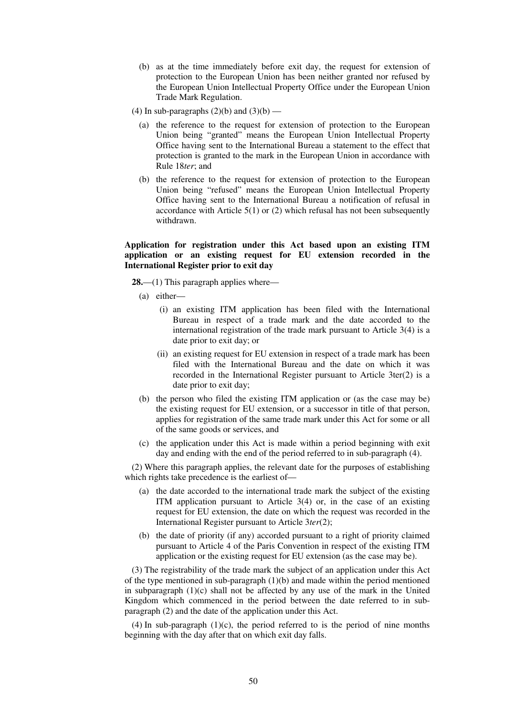- (b) as at the time immediately before exit day, the request for extension of protection to the European Union has been neither granted nor refused by the European Union Intellectual Property Office under the European Union Trade Mark Regulation.
- (4) In sub-paragraphs  $(2)(b)$  and  $(3)(b)$ 
	- (a) the reference to the request for extension of protection to the European Union being "granted" means the European Union Intellectual Property Office having sent to the International Bureau a statement to the effect that protection is granted to the mark in the European Union in accordance with Rule 18*ter*; and
	- (b) the reference to the request for extension of protection to the European Union being "refused" means the European Union Intellectual Property Office having sent to the International Bureau a notification of refusal in accordance with Article 5(1) or (2) which refusal has not been subsequently withdrawn.

## **Application for registration under this Act based upon an existing ITM application or an existing request for EU extension recorded in the International Register prior to exit day**

**28.**—(1) This paragraph applies where—

- (a) either—
	- (i) an existing ITM application has been filed with the International Bureau in respect of a trade mark and the date accorded to the international registration of the trade mark pursuant to Article 3(4) is a date prior to exit day; or
	- (ii) an existing request for EU extension in respect of a trade mark has been filed with the International Bureau and the date on which it was recorded in the International Register pursuant to Article 3ter(2) is a date prior to exit day;
- (b) the person who filed the existing ITM application or (as the case may be) the existing request for EU extension, or a successor in title of that person, applies for registration of the same trade mark under this Act for some or all of the same goods or services, and
- (c) the application under this Act is made within a period beginning with exit day and ending with the end of the period referred to in sub-paragraph (4).

(2) Where this paragraph applies, the relevant date for the purposes of establishing which rights take precedence is the earliest of—

- (a) the date accorded to the international trade mark the subject of the existing ITM application pursuant to Article 3(4) or, in the case of an existing request for EU extension, the date on which the request was recorded in the International Register pursuant to Article 3*ter*(2);
- (b) the date of priority (if any) accorded pursuant to a right of priority claimed pursuant to Article 4 of the Paris Convention in respect of the existing ITM application or the existing request for EU extension (as the case may be).

(3) The registrability of the trade mark the subject of an application under this Act of the type mentioned in sub-paragraph (1)(b) and made within the period mentioned in subparagraph (1)(c) shall not be affected by any use of the mark in the United Kingdom which commenced in the period between the date referred to in subparagraph (2) and the date of the application under this Act.

(4) In sub-paragraph (1)(c), the period referred to is the period of nine months beginning with the day after that on which exit day falls.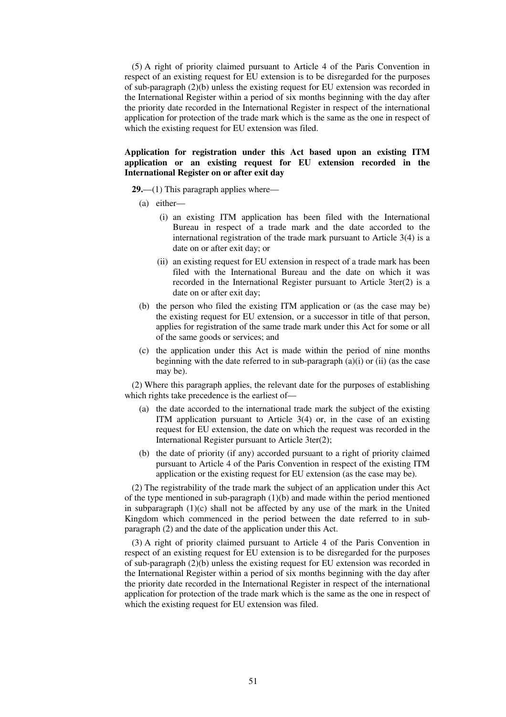(5) A right of priority claimed pursuant to Article 4 of the Paris Convention in respect of an existing request for EU extension is to be disregarded for the purposes of sub-paragraph (2)(b) unless the existing request for EU extension was recorded in the International Register within a period of six months beginning with the day after the priority date recorded in the International Register in respect of the international application for protection of the trade mark which is the same as the one in respect of which the existing request for EU extension was filed.

## **Application for registration under this Act based upon an existing ITM application or an existing request for EU extension recorded in the International Register on or after exit day**

**29.**—(1) This paragraph applies where—

- (a) either—
	- (i) an existing ITM application has been filed with the International Bureau in respect of a trade mark and the date accorded to the international registration of the trade mark pursuant to Article 3(4) is a date on or after exit day; or
	- (ii) an existing request for EU extension in respect of a trade mark has been filed with the International Bureau and the date on which it was recorded in the International Register pursuant to Article 3ter(2) is a date on or after exit day;
- (b) the person who filed the existing ITM application or (as the case may be) the existing request for EU extension, or a successor in title of that person, applies for registration of the same trade mark under this Act for some or all of the same goods or services; and
- (c) the application under this Act is made within the period of nine months beginning with the date referred to in sub-paragraph  $(a)(i)$  or  $(ii)$  (as the case may be).

(2) Where this paragraph applies, the relevant date for the purposes of establishing which rights take precedence is the earliest of—

- (a) the date accorded to the international trade mark the subject of the existing ITM application pursuant to Article 3(4) or, in the case of an existing request for EU extension, the date on which the request was recorded in the International Register pursuant to Article 3ter(2);
- (b) the date of priority (if any) accorded pursuant to a right of priority claimed pursuant to Article 4 of the Paris Convention in respect of the existing ITM application or the existing request for EU extension (as the case may be).

(2) The registrability of the trade mark the subject of an application under this Act of the type mentioned in sub-paragraph (1)(b) and made within the period mentioned in subparagraph (1)(c) shall not be affected by any use of the mark in the United Kingdom which commenced in the period between the date referred to in subparagraph (2) and the date of the application under this Act.

(3) A right of priority claimed pursuant to Article 4 of the Paris Convention in respect of an existing request for EU extension is to be disregarded for the purposes of sub-paragraph (2)(b) unless the existing request for EU extension was recorded in the International Register within a period of six months beginning with the day after the priority date recorded in the International Register in respect of the international application for protection of the trade mark which is the same as the one in respect of which the existing request for EU extension was filed.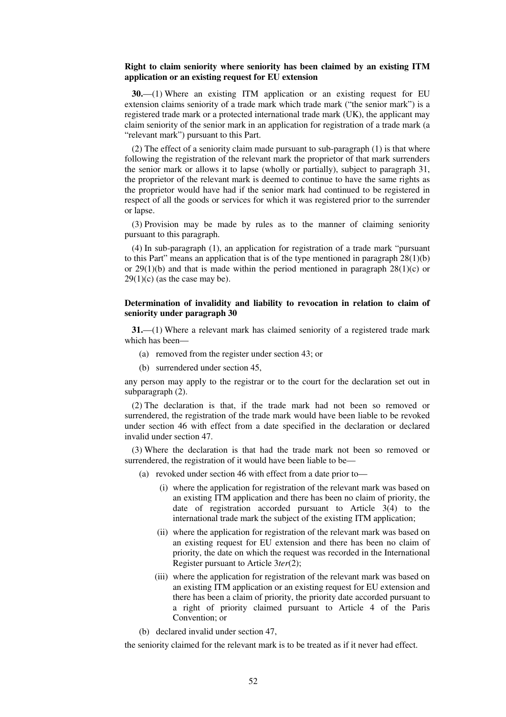### **Right to claim seniority where seniority has been claimed by an existing ITM application or an existing request for EU extension**

**30.**—(1) Where an existing ITM application or an existing request for EU extension claims seniority of a trade mark which trade mark ("the senior mark") is a registered trade mark or a protected international trade mark (UK), the applicant may claim seniority of the senior mark in an application for registration of a trade mark (a "relevant mark") pursuant to this Part.

(2) The effect of a seniority claim made pursuant to sub-paragraph (1) is that where following the registration of the relevant mark the proprietor of that mark surrenders the senior mark or allows it to lapse (wholly or partially), subject to paragraph 31, the proprietor of the relevant mark is deemed to continue to have the same rights as the proprietor would have had if the senior mark had continued to be registered in respect of all the goods or services for which it was registered prior to the surrender or lapse.

(3) Provision may be made by rules as to the manner of claiming seniority pursuant to this paragraph.

(4) In sub-paragraph (1), an application for registration of a trade mark "pursuant to this Part" means an application that is of the type mentioned in paragraph  $28(1)(b)$ or 29(1)(b) and that is made within the period mentioned in paragraph  $28(1)(c)$  or  $29(1)(c)$  (as the case may be).

## **Determination of invalidity and liability to revocation in relation to claim of seniority under paragraph 30**

**31.**—(1) Where a relevant mark has claimed seniority of a registered trade mark which has been—

- (a) removed from the register under section 43; or
- (b) surrendered under section 45,

any person may apply to the registrar or to the court for the declaration set out in subparagraph (2).

(2) The declaration is that, if the trade mark had not been so removed or surrendered, the registration of the trade mark would have been liable to be revoked under section 46 with effect from a date specified in the declaration or declared invalid under section 47.

(3) Where the declaration is that had the trade mark not been so removed or surrendered, the registration of it would have been liable to be—

- (a) revoked under section 46 with effect from a date prior to—
	- (i) where the application for registration of the relevant mark was based on an existing ITM application and there has been no claim of priority, the date of registration accorded pursuant to Article 3(4) to the international trade mark the subject of the existing ITM application;
	- (ii) where the application for registration of the relevant mark was based on an existing request for EU extension and there has been no claim of priority, the date on which the request was recorded in the International Register pursuant to Article 3*ter*(2);
	- (iii) where the application for registration of the relevant mark was based on an existing ITM application or an existing request for EU extension and there has been a claim of priority, the priority date accorded pursuant to a right of priority claimed pursuant to Article 4 of the Paris Convention; or
- (b) declared invalid under section 47,

the seniority claimed for the relevant mark is to be treated as if it never had effect.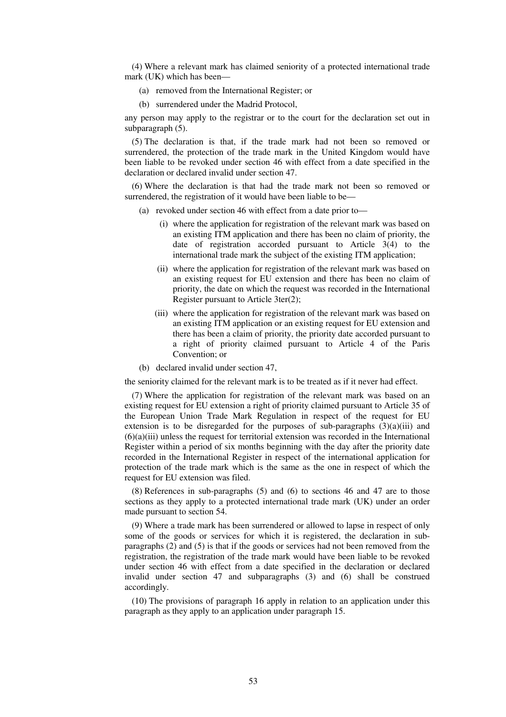(4) Where a relevant mark has claimed seniority of a protected international trade mark (UK) which has been—

- (a) removed from the International Register; or
- (b) surrendered under the Madrid Protocol,

any person may apply to the registrar or to the court for the declaration set out in subparagraph (5).

(5) The declaration is that, if the trade mark had not been so removed or surrendered, the protection of the trade mark in the United Kingdom would have been liable to be revoked under section 46 with effect from a date specified in the declaration or declared invalid under section 47.

(6) Where the declaration is that had the trade mark not been so removed or surrendered, the registration of it would have been liable to be—

- (a) revoked under section 46 with effect from a date prior to—
	- (i) where the application for registration of the relevant mark was based on an existing ITM application and there has been no claim of priority, the date of registration accorded pursuant to Article 3(4) to the international trade mark the subject of the existing ITM application;
	- (ii) where the application for registration of the relevant mark was based on an existing request for EU extension and there has been no claim of priority, the date on which the request was recorded in the International Register pursuant to Article 3ter(2);
	- (iii) where the application for registration of the relevant mark was based on an existing ITM application or an existing request for EU extension and there has been a claim of priority, the priority date accorded pursuant to a right of priority claimed pursuant to Article 4 of the Paris Convention; or
- (b) declared invalid under section 47,

the seniority claimed for the relevant mark is to be treated as if it never had effect.

(7) Where the application for registration of the relevant mark was based on an existing request for EU extension a right of priority claimed pursuant to Article 35 of the European Union Trade Mark Regulation in respect of the request for EU extension is to be disregarded for the purposes of sub-paragraphs  $(3)(a)(iii)$  and  $(6)(a)(iii)$  unless the request for territorial extension was recorded in the International Register within a period of six months beginning with the day after the priority date recorded in the International Register in respect of the international application for protection of the trade mark which is the same as the one in respect of which the request for EU extension was filed.

(8) References in sub-paragraphs (5) and (6) to sections 46 and 47 are to those sections as they apply to a protected international trade mark (UK) under an order made pursuant to section 54.

(9) Where a trade mark has been surrendered or allowed to lapse in respect of only some of the goods or services for which it is registered, the declaration in subparagraphs (2) and (5) is that if the goods or services had not been removed from the registration, the registration of the trade mark would have been liable to be revoked under section 46 with effect from a date specified in the declaration or declared invalid under section 47 and subparagraphs (3) and (6) shall be construed accordingly.

(10) The provisions of paragraph 16 apply in relation to an application under this paragraph as they apply to an application under paragraph 15.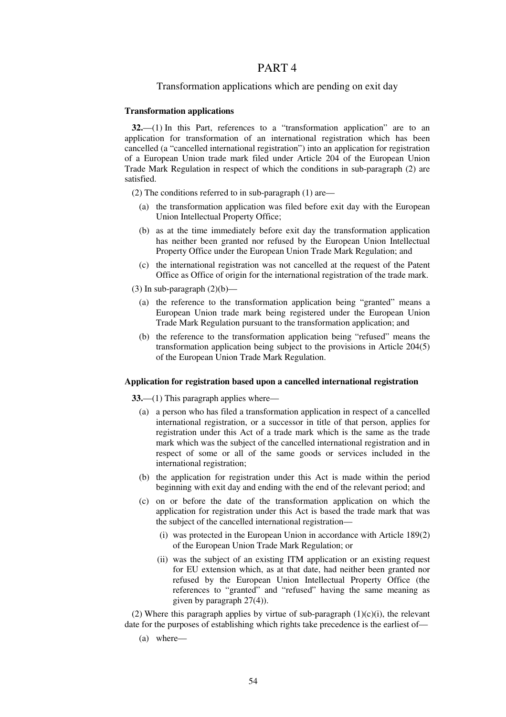## PART 4

## Transformation applications which are pending on exit day

## **Transformation applications**

**32.**—(1) In this Part, references to a "transformation application" are to an application for transformation of an international registration which has been cancelled (a "cancelled international registration") into an application for registration of a European Union trade mark filed under Article 204 of the European Union Trade Mark Regulation in respect of which the conditions in sub-paragraph (2) are satisfied.

(2) The conditions referred to in sub-paragraph (1) are—

- (a) the transformation application was filed before exit day with the European Union Intellectual Property Office;
- (b) as at the time immediately before exit day the transformation application has neither been granted nor refused by the European Union Intellectual Property Office under the European Union Trade Mark Regulation; and
- (c) the international registration was not cancelled at the request of the Patent Office as Office of origin for the international registration of the trade mark.

(3) In sub-paragraph  $(2)(b)$ —

- (a) the reference to the transformation application being "granted" means a European Union trade mark being registered under the European Union Trade Mark Regulation pursuant to the transformation application; and
- (b) the reference to the transformation application being "refused" means the transformation application being subject to the provisions in Article 204(5) of the European Union Trade Mark Regulation.

### **Application for registration based upon a cancelled international registration**

**33.**—(1) This paragraph applies where—

- (a) a person who has filed a transformation application in respect of a cancelled international registration, or a successor in title of that person, applies for registration under this Act of a trade mark which is the same as the trade mark which was the subject of the cancelled international registration and in respect of some or all of the same goods or services included in the international registration;
- (b) the application for registration under this Act is made within the period beginning with exit day and ending with the end of the relevant period; and
- (c) on or before the date of the transformation application on which the application for registration under this Act is based the trade mark that was the subject of the cancelled international registration—
	- (i) was protected in the European Union in accordance with Article 189(2) of the European Union Trade Mark Regulation; or
	- (ii) was the subject of an existing ITM application or an existing request for EU extension which, as at that date, had neither been granted nor refused by the European Union Intellectual Property Office (the references to "granted" and "refused" having the same meaning as given by paragraph 27(4)).

(2) Where this paragraph applies by virtue of sub-paragraph  $(1)(c)(i)$ , the relevant date for the purposes of establishing which rights take precedence is the earliest of—

(a) where—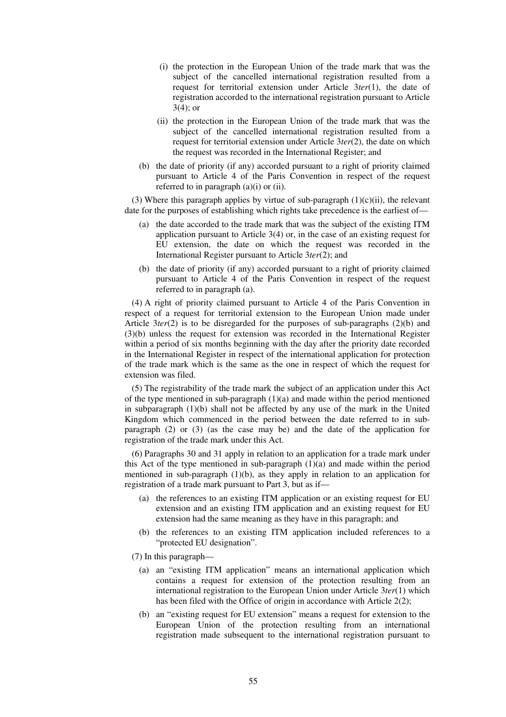- (i) the protection in the European Union of the trade mark that was the subject of the cancelled international registration resulted from a request for territorial extension under Article 3*ter*(1), the date of registration accorded to the international registration pursuant to Article  $3(4)$ ; or
- (ii) the protection in the European Union of the trade mark that was the subject of the cancelled international registration resulted from a request for territorial extension under Article 3*ter*(2), the date on which the request was recorded in the International Register; and
- (b) the date of priority (if any) accorded pursuant to a right of priority claimed pursuant to Article 4 of the Paris Convention in respect of the request referred to in paragraph (a)(i) or (ii).

(3) Where this paragraph applies by virtue of sub-paragraph  $(1)(c)(ii)$ , the relevant date for the purposes of establishing which rights take precedence is the earliest of—

- (a) the date accorded to the trade mark that was the subject of the existing ITM application pursuant to Article 3(4) or, in the case of an existing request for EU extension, the date on which the request was recorded in the International Register pursuant to Article 3*ter*(2); and
- (b) the date of priority (if any) accorded pursuant to a right of priority claimed pursuant to Article 4 of the Paris Convention in respect of the request referred to in paragraph (a).

(4) A right of priority claimed pursuant to Article 4 of the Paris Convention in respect of a request for territorial extension to the European Union made under Article 3*ter*(2) is to be disregarded for the purposes of sub-paragraphs (2)(b) and (3)(b) unless the request for extension was recorded in the International Register within a period of six months beginning with the day after the priority date recorded in the International Register in respect of the international application for protection of the trade mark which is the same as the one in respect of which the request for extension was filed.

(5) The registrability of the trade mark the subject of an application under this Act of the type mentioned in sub-paragraph (1)(a) and made within the period mentioned in subparagraph (1)(b) shall not be affected by any use of the mark in the United Kingdom which commenced in the period between the date referred to in subparagraph (2) or (3) (as the case may be) and the date of the application for registration of the trade mark under this Act.

(6) Paragraphs 30 and 31 apply in relation to an application for a trade mark under this Act of the type mentioned in sub-paragraph  $(1)(a)$  and made within the period mentioned in sub-paragraph (1)(b), as they apply in relation to an application for registration of a trade mark pursuant to Part 3, but as if—

- (a) the references to an existing ITM application or an existing request for EU extension and an existing ITM application and an existing request for EU extension had the same meaning as they have in this paragraph; and
- (b) the references to an existing ITM application included references to a "protected EU designation".

(7) In this paragraph—

- (a) an "existing ITM application" means an international application which contains a request for extension of the protection resulting from an international registration to the European Union under Article 3*ter*(1) which has been filed with the Office of origin in accordance with Article 2(2);
- (b) an "existing request for EU extension" means a request for extension to the European Union of the protection resulting from an international registration made subsequent to the international registration pursuant to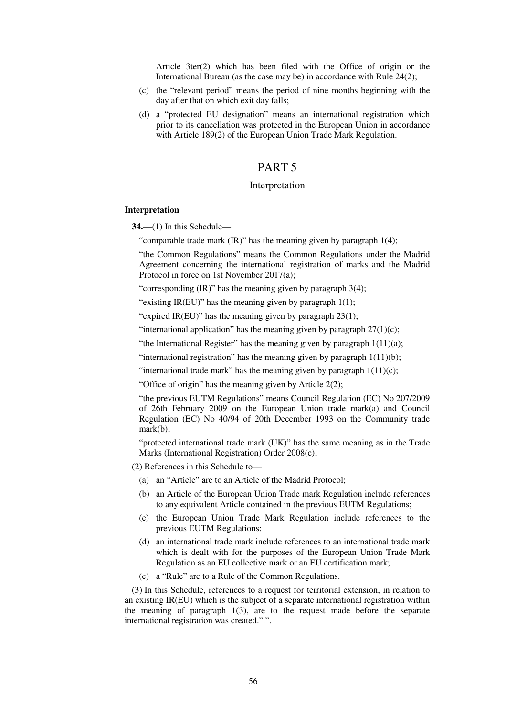Article 3ter(2) which has been filed with the Office of origin or the International Bureau (as the case may be) in accordance with Rule 24(2);

- (c) the "relevant period" means the period of nine months beginning with the day after that on which exit day falls;
- (d) a "protected EU designation" means an international registration which prior to its cancellation was protected in the European Union in accordance with Article 189(2) of the European Union Trade Mark Regulation.

## PART 5

## Interpretation

### **Interpretation**

**34.**—(1) In this Schedule—

"comparable trade mark (IR)" has the meaning given by paragraph 1(4);

"the Common Regulations" means the Common Regulations under the Madrid Agreement concerning the international registration of marks and the Madrid Protocol in force on 1st November 2017(a);

"corresponding (IR)" has the meaning given by paragraph 3(4);

"existing IR(EU)" has the meaning given by paragraph  $1(1)$ ;

"expired IR(EU)" has the meaning given by paragraph 23(1);

"international application" has the meaning given by paragraph  $27(1)(c)$ ;

"the International Register" has the meaning given by paragraph  $1(11)(a)$ ;

"international registration" has the meaning given by paragraph  $1(11)(b)$ ;

"international trade mark" has the meaning given by paragraph  $1(11)(c)$ ;

"Office of origin" has the meaning given by Article 2(2);

"the previous EUTM Regulations" means Council Regulation (EC) No 207/2009 of 26th February 2009 on the European Union trade mark(a) and Council Regulation (EC) No 40/94 of 20th December 1993 on the Community trade mark(b);

"protected international trade mark (UK)" has the same meaning as in the Trade Marks (International Registration) Order 2008(c);

(2) References in this Schedule to—

- (a) an "Article" are to an Article of the Madrid Protocol;
- (b) an Article of the European Union Trade mark Regulation include references to any equivalent Article contained in the previous EUTM Regulations;
- (c) the European Union Trade Mark Regulation include references to the previous EUTM Regulations;
- (d) an international trade mark include references to an international trade mark which is dealt with for the purposes of the European Union Trade Mark Regulation as an EU collective mark or an EU certification mark;
- (e) a "Rule" are to a Rule of the Common Regulations.

(3) In this Schedule, references to a request for territorial extension, in relation to an existing IR(EU) which is the subject of a separate international registration within the meaning of paragraph 1(3), are to the request made before the separate international registration was created.".".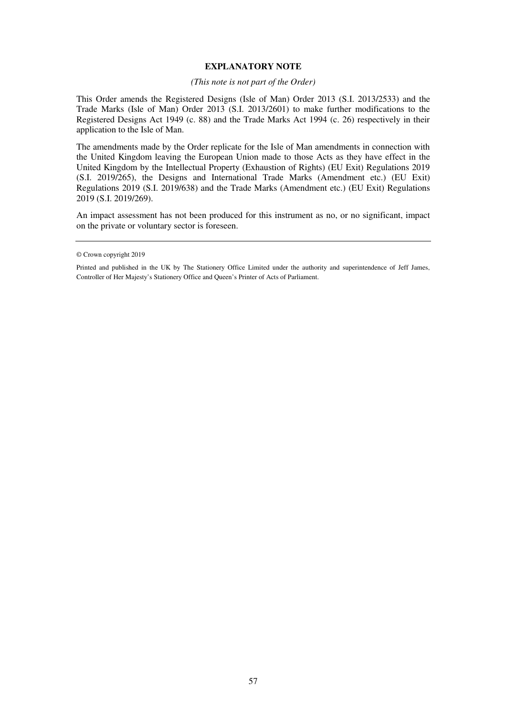### **EXPLANATORY NOTE**

### *(This note is not part of the Order)*

This Order amends the Registered Designs (Isle of Man) Order 2013 (S.I. 2013/2533) and the Trade Marks (Isle of Man) Order 2013 (S.I. 2013/2601) to make further modifications to the Registered Designs Act 1949 (c. 88) and the Trade Marks Act 1994 (c. 26) respectively in their application to the Isle of Man.

The amendments made by the Order replicate for the Isle of Man amendments in connection with the United Kingdom leaving the European Union made to those Acts as they have effect in the United Kingdom by the Intellectual Property (Exhaustion of Rights) (EU Exit) Regulations 2019 (S.I. 2019/265), the Designs and International Trade Marks (Amendment etc.) (EU Exit) Regulations 2019 (S.I. 2019/638) and the Trade Marks (Amendment etc.) (EU Exit) Regulations 2019 (S.I. 2019/269).

An impact assessment has not been produced for this instrument as no, or no significant, impact on the private or voluntary sector is foreseen.

<sup>©</sup> Crown copyright 2019

Printed and published in the UK by The Stationery Office Limited under the authority and superintendence of Jeff James, Controller of Her Majesty's Stationery Office and Queen's Printer of Acts of Parliament.